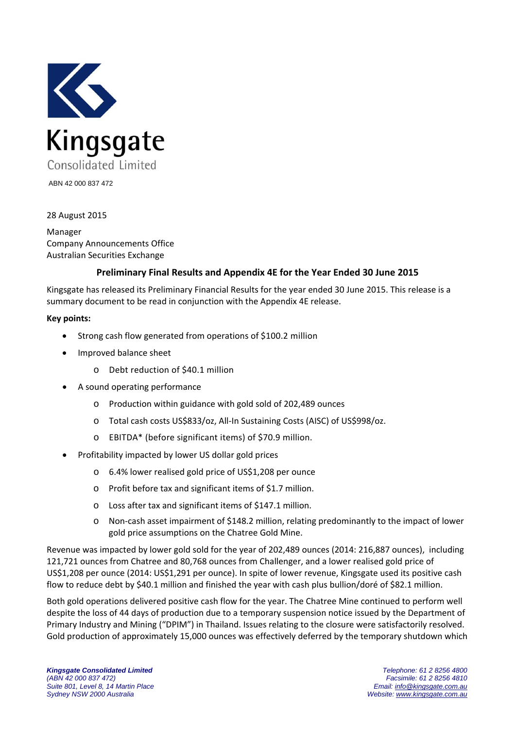

ABN 42 000 837 472

28 August 2015

Manager Company Announcements Office Australian Securities Exchange

# **Preliminary Final Results and Appendix 4E for the Year Ended 30 June 2015**

Kingsgate has released its Preliminary Financial Results for the year ended 30 June 2015. This release is a summary document to be read in conjunction with the Appendix 4E release.

#### **Key points:**

- Strong cash flow generated from operations of \$100.2 million
- Improved balance sheet
	- o Debt reduction of \$40.1 million
- A sound operating performance
	- o Production within guidance with gold sold of 202,489 ounces
	- o Total cash costs US\$833/oz, All‐In Sustaining Costs (AISC) of US\$998/oz.
	- o EBITDA\* (before significant items) of \$70.9 million.
- Profitability impacted by lower US dollar gold prices
	- o 6.4% lower realised gold price of US\$1,208 per ounce
	- o Profit before tax and significant items of \$1.7 million.
	- o Loss after tax and significant items of \$147.1 million.
	- o Non‐cash asset impairment of \$148.2 million, relating predominantly to the impact of lower gold price assumptions on the Chatree Gold Mine.

Revenue was impacted by lower gold sold for the year of 202,489 ounces (2014: 216,887 ounces), including 121,721 ounces from Chatree and 80,768 ounces from Challenger, and a lower realised gold price of US\$1,208 per ounce (2014: US\$1,291 per ounce). In spite of lower revenue, Kingsgate used its positive cash flow to reduce debt by \$40.1 million and finished the year with cash plus bullion/doré of \$82.1 million.

Both gold operations delivered positive cash flow for the year. The Chatree Mine continued to perform well despite the loss of 44 days of production due to a temporary suspension notice issued by the Department of Primary Industry and Mining ("DPIM") in Thailand. Issues relating to the closure were satisfactorily resolved. Gold production of approximately 15,000 ounces was effectively deferred by the temporary shutdown which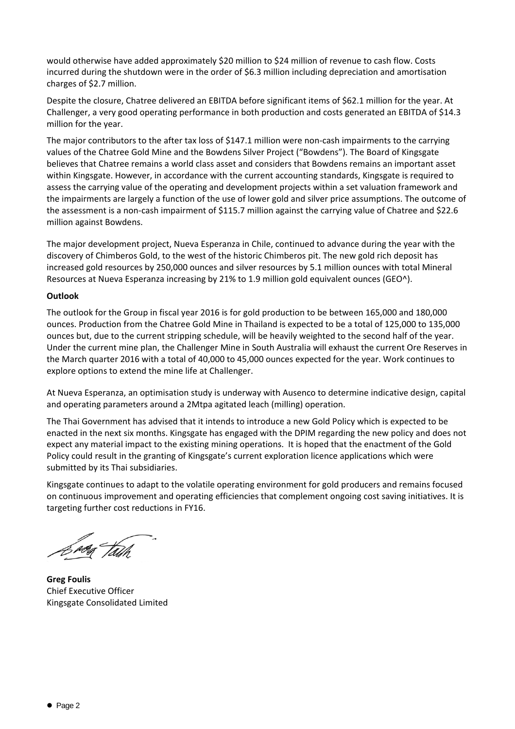would otherwise have added approximately \$20 million to \$24 million of revenue to cash flow. Costs incurred during the shutdown were in the order of \$6.3 million including depreciation and amortisation charges of \$2.7 million.

Despite the closure, Chatree delivered an EBITDA before significant items of \$62.1 million for the year. At Challenger, a very good operating performance in both production and costs generated an EBITDA of \$14.3 million for the year.

The major contributors to the after tax loss of \$147.1 million were non-cash impairments to the carrying values of the Chatree Gold Mine and the Bowdens Silver Project ("Bowdens"). The Board of Kingsgate believes that Chatree remains a world class asset and considers that Bowdens remains an important asset within Kingsgate. However, in accordance with the current accounting standards, Kingsgate is required to assess the carrying value of the operating and development projects within a set valuation framework and the impairments are largely a function of the use of lower gold and silver price assumptions. The outcome of the assessment is a non-cash impairment of \$115.7 million against the carrying value of Chatree and \$22.6 million against Bowdens.

The major development project, Nueva Esperanza in Chile, continued to advance during the year with the discovery of Chimberos Gold, to the west of the historic Chimberos pit. The new gold rich deposit has increased gold resources by 250,000 ounces and silver resources by 5.1 million ounces with total Mineral Resources at Nueva Esperanza increasing by 21% to 1.9 million gold equivalent ounces (GEO^).

# **Outlook**

The outlook for the Group in fiscal year 2016 is for gold production to be between 165,000 and 180,000 ounces. Production from the Chatree Gold Mine in Thailand is expected to be a total of 125,000 to 135,000 ounces but, due to the current stripping schedule, will be heavily weighted to the second half of the year. Under the current mine plan, the Challenger Mine in South Australia will exhaust the current Ore Reserves in the March quarter 2016 with a total of 40,000 to 45,000 ounces expected for the year. Work continues to explore options to extend the mine life at Challenger.

At Nueva Esperanza, an optimisation study is underway with Ausenco to determine indicative design, capital and operating parameters around a 2Mtpa agitated leach (milling) operation.

The Thai Government has advised that it intends to introduce a new Gold Policy which is expected to be enacted in the next six months. Kingsgate has engaged with the DPIM regarding the new policy and does not expect any material impact to the existing mining operations. It is hoped that the enactment of the Gold Policy could result in the granting of Kingsgate's current exploration licence applications which were submitted by its Thai subsidiaries.

Kingsgate continues to adapt to the volatile operating environment for gold producers and remains focused on continuous improvement and operating efficiencies that complement ongoing cost saving initiatives. It is targeting further cost reductions in FY16.

'<sup>p</sup>og Tath

**Greg Foulis** Chief Executive Officer Kingsgate Consolidated Limited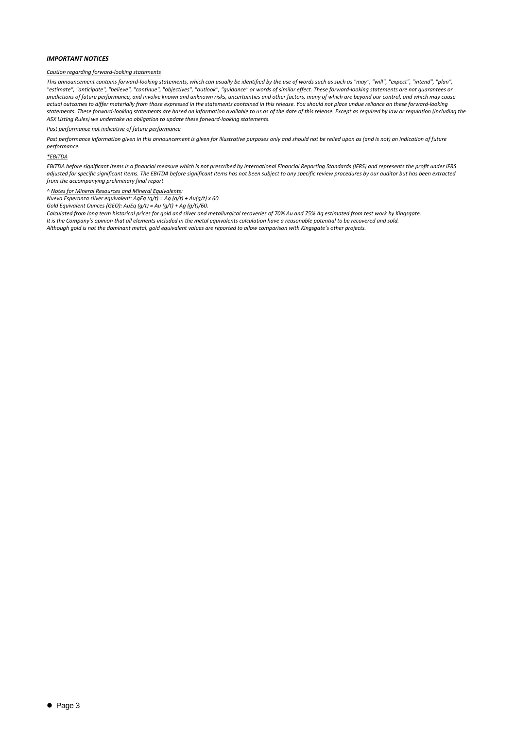#### *IMPORTANT NOTICES*

#### *Caution regarding forward‐looking statements*

This announcement contains forward-looking statements, which can usually be identified by the use of words such as such as "may", "will", "expect", "intend", "plan", "estimate", "anticipate", "believe", "continue", "objectives", "outlook", "guidance" or words of similar effect. These forward-looking statements are not guarantees or predictions of future performance, and involve known and unknown risks, uncertainties and other factors, many of which are beyond our control, and which may cause actual outcomes to differ materially from those expressed in the statements contained in this release. You should not place undue reliance on these forward-looking statements. These forward-looking statements are based on information available to us as of the date of this release. Except as required by law or regulation (including the *ASX Listing Rules) we undertake no obligation to update these forward‐looking statements.*

#### *Past performance not indicative of future performance*

Past performance information given in this announcement is given for illustrative purposes only and should not be relied upon as (and is not) an indication of future *performance.*

#### *\*EBITDA*

EBITDA before significant items is a financial measure which is not prescribed by International Financial Reporting Standards (IFRS) and represents the profit under IFRS adjusted for specific significant items. The EBITDA before significant items has not been subject to any specific review procedures by our auditor but has been extracted *from the accompanying preliminary final report*

#### *^ Notes for Mineral Resources and Mineral Equivalents:*

*Nueva Esperanza silver equivalent: AgEq (g/t) = Ag (g/t) + Au(g/t) x 60.*

*Gold Equivalent Ounces (GEO): AuEq (g/t) = Au (g/t) + Ag (g/t)/60.*

Calculated from long term historical prices for gold and silver and metallurgical recoveries of 70% Au and 75% Ag estimated from test work by Kingsgate. It is the Company's opinion that all elements included in the metal equivalents calculation have a reasonable potential to be recovered and sold. Although gold is not the dominant metal, gold equivalent values are reported to allow comparison with Kingsgate's other projects.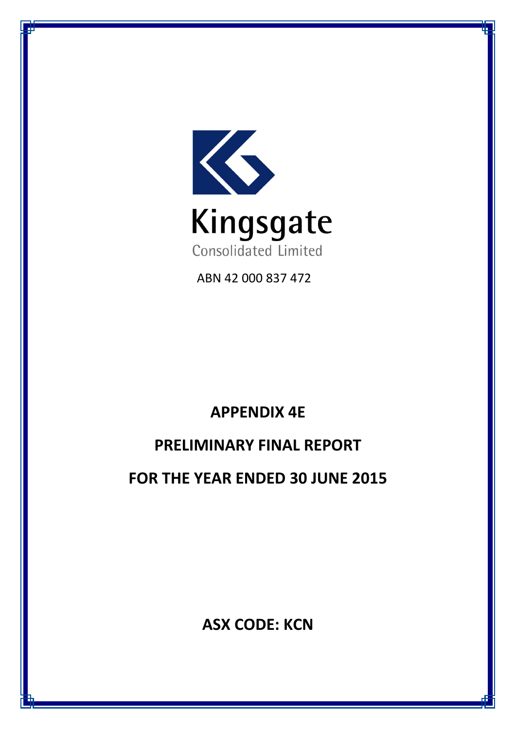

ABN 42 000 837 472

# **APPENDIX 4E**

# **PRELIMINARY FINAL REPORT**

**FOR THE YEAR ENDED 30 JUNE 2015**

**ASX CODE: KCN**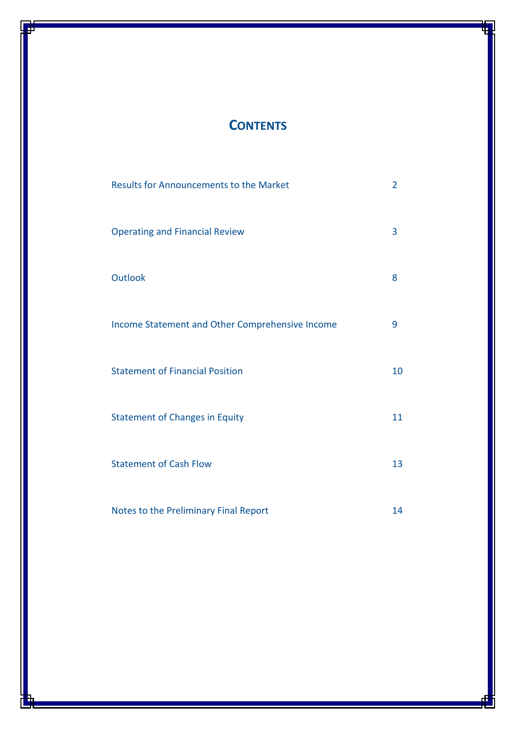# **CONTENTS**

| <b>Results for Announcements to the Market</b>  | $\overline{2}$ |
|-------------------------------------------------|----------------|
| <b>Operating and Financial Review</b>           | 3              |
| <b>Outlook</b>                                  | 8              |
| Income Statement and Other Comprehensive Income | 9              |
| <b>Statement of Financial Position</b>          | 10             |
| <b>Statement of Changes in Equity</b>           | 11             |
| <b>Statement of Cash Flow</b>                   | 13             |
| Notes to the Preliminary Final Report           | 14             |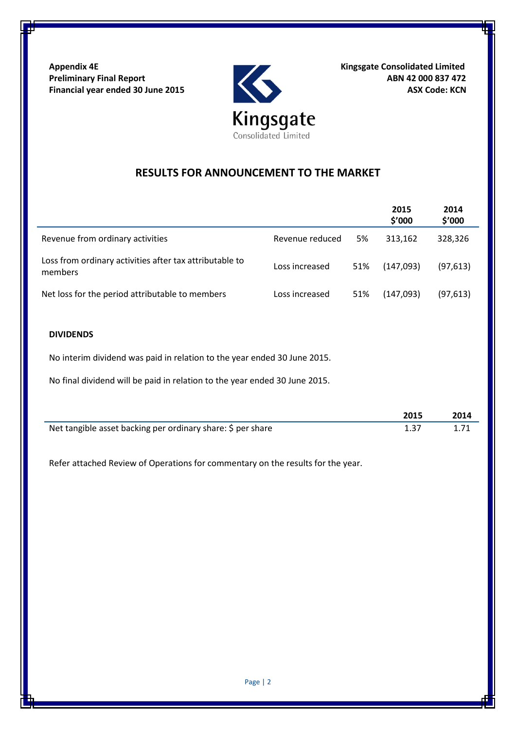Appendix 4E<br>
Preliminary Final Report<br>
Financial year ended 30 June 2015<br>
ASX Code: KCN<br>
ASX Code: KCN Preliminary Final Report **ABN 42 000 837 472 Financial year ended 30 June 2015** ASX Code: KCN



# **RESULTS FOR ANNOUNCEMENT TO THE MARKET**

|                                                                    |                 |     | 2015<br>\$'000 | 2014<br>\$′000 |
|--------------------------------------------------------------------|-----------------|-----|----------------|----------------|
| Revenue from ordinary activities                                   | Revenue reduced | 5%  | 313.162        | 328,326        |
| Loss from ordinary activities after tax attributable to<br>members | Loss increased  | 51% | (147,093)      | (97, 613)      |
| Net loss for the period attributable to members                    | Loss increased  | 51% | (147,093)      | (97, 613)      |

# **DIVIDENDS**

No interim dividend was paid in relation to the year ended 30 June 2015.

No final dividend will be paid in relation to the year ended 30 June 2015.

|                                                             | 2015 | 2014 |
|-------------------------------------------------------------|------|------|
| Net tangible asset backing per ordinary share: \$ per share |      |      |

Refer attached Review of Operations for commentary on the results for the year.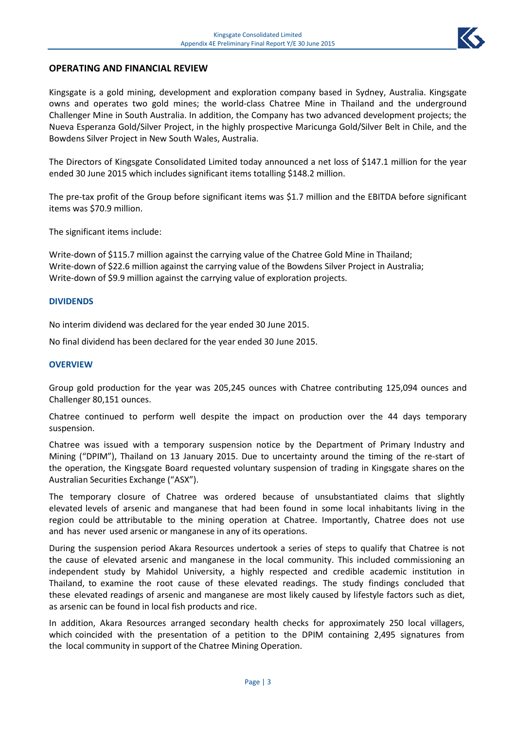

# **OPERATING AND FINANCIAL REVIEW**

Kingsgate is a gold mining, development and exploration company based in Sydney, Australia. Kingsgate owns and operates two gold mines; the world-class Chatree Mine in Thailand and the underground Challenger Mine in South Australia. In addition, the Company has two advanced development projects; the Nueva Esperanza Gold/Silver Project, in the highly prospective Maricunga Gold/Silver Belt in Chile, and the Bowdens Silver Project in New South Wales, Australia.

The Directors of Kingsgate Consolidated Limited today announced a net loss of \$147.1 million for the year ended 30 June 2015 which includes significant items totalling \$148.2 million.

The pre-tax profit of the Group before significant items was \$1.7 million and the EBITDA before significant items was \$70.9 million.

The significant items include:

Write-down of \$115.7 million against the carrying value of the Chatree Gold Mine in Thailand; Write-down of \$22.6 million against the carrying value of the Bowdens Silver Project in Australia; Write-down of \$9.9 million against the carrying value of exploration projects.

#### **DIVIDENDS**

No interim dividend was declared for the year ended 30 June 2015.

No final dividend has been declared for the year ended 30 June 2015.

#### **OVERVIEW**

Group gold production for the year was 205,245 ounces with Chatree contributing 125,094 ounces and Challenger 80,151 ounces.

Chatree continued to perform well despite the impact on production over the 44 days temporary suspension.

Chatree was issued with a temporary suspension notice by the Department of Primary Industry and Mining ("DPIM"), Thailand on 13 January 2015. Due to uncertainty around the timing of the re-start of the operation, the Kingsgate Board requested voluntary suspension of trading in Kingsgate shares on the Australian Securities Exchange ("ASX").

The temporary closure of Chatree was ordered because of unsubstantiated claims that slightly elevated levels of arsenic and manganese that had been found in some local inhabitants living in the region could be attributable to the mining operation at Chatree. Importantly, Chatree does not use and has never used arsenic or manganese in any of its operations.

During the suspension period Akara Resources undertook a series of steps to qualify that Chatree is not the cause of elevated arsenic and manganese in the local community. This included commissioning an independent study by Mahidol University, a highly respected and credible academic institution in Thailand, to examine the root cause of these elevated readings. The study findings concluded that these elevated readings of arsenic and manganese are most likely caused by lifestyle factors such as diet, as arsenic can be found in local fish products and rice.

In addition, Akara Resources arranged secondary health checks for approximately 250 local villagers, which coincided with the presentation of a petition to the DPIM containing 2,495 signatures from the local community in support of the Chatree Mining Operation.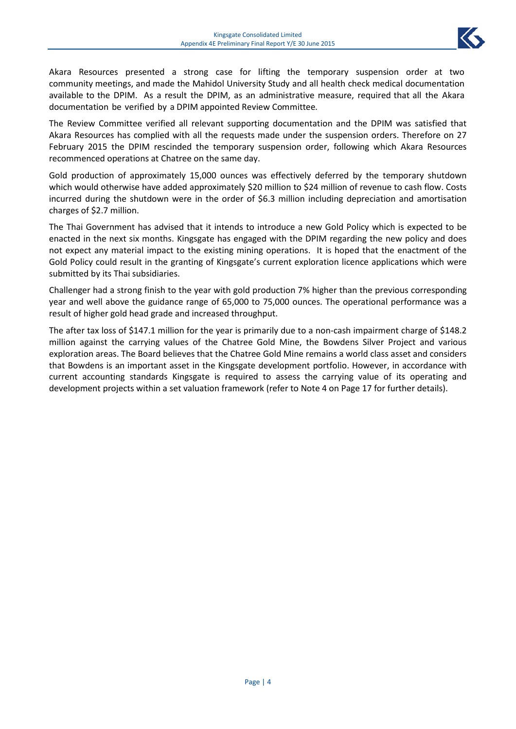

Akara Resources presented a strong case for lifting the temporary suspension order at two community meetings, and made the Mahidol University Study and all health check medical documentation available to the DPIM. As a result the DPIM, as an administrative measure, required that all the Akara documentation be verified by a DPIM appointed Review Committee.

The Review Committee verified all relevant supporting documentation and the DPIM was satisfied that Akara Resources has complied with all the requests made under the suspension orders. Therefore on 27 February 2015 the DPIM rescinded the temporary suspension order, following which Akara Resources recommenced operations at Chatree on the same day.

Gold production of approximately 15,000 ounces was effectively deferred by the temporary shutdown which would otherwise have added approximately \$20 million to \$24 million of revenue to cash flow. Costs incurred during the shutdown were in the order of \$6.3 million including depreciation and amortisation charges of \$2.7 million.

The Thai Government has advised that it intends to introduce a new Gold Policy which is expected to be enacted in the next six months. Kingsgate has engaged with the DPIM regarding the new policy and does not expect any material impact to the existing mining operations. It is hoped that the enactment of the Gold Policy could result in the granting of Kingsgate's current exploration licence applications which were submitted by its Thai subsidiaries.

Challenger had a strong finish to the year with gold production 7% higher than the previous corresponding year and well above the guidance range of 65,000 to 75,000 ounces. The operational performance was a result of higher gold head grade and increased throughput.

The after tax loss of \$147.1 million for the year is primarily due to a non-cash impairment charge of \$148.2 million against the carrying values of the Chatree Gold Mine, the Bowdens Silver Project and various exploration areas. The Board believes that the Chatree Gold Mine remains a world class asset and considers that Bowdens is an important asset in the Kingsgate development portfolio. However, in accordance with current accounting standards Kingsgate is required to assess the carrying value of its operating and development projects within a set valuation framework (refer to Note 4 on Page 17 for further details).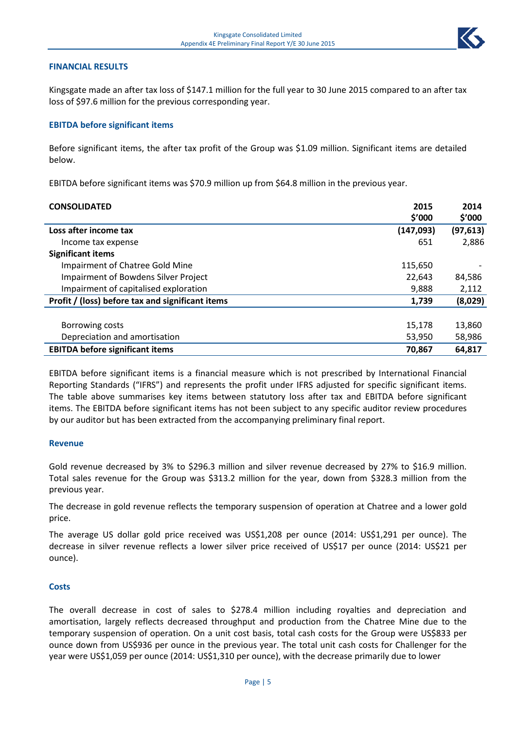#### **FINANCIAL RESULTS**

Kingsgate made an after tax loss of \$147.1 million for the full year to 30 June 2015 compared to an after tax loss of \$97.6 million for the previous corresponding year.

#### **EBITDA before significant items**

Before significant items, the after tax profit of the Group was \$1.09 million. Significant items are detailed below.

EBITDA before significant items was \$70.9 million up from \$64.8 million in the previous year.

| <b>CONSOLIDATED</b>                              | 2015       | 2014      |
|--------------------------------------------------|------------|-----------|
|                                                  | \$'000     | \$'000    |
| Loss after income tax                            | (147, 093) | (97, 613) |
| Income tax expense                               | 651        | 2,886     |
| <b>Significant items</b>                         |            |           |
| Impairment of Chatree Gold Mine                  | 115,650    |           |
| Impairment of Bowdens Silver Project             | 22,643     | 84,586    |
| Impairment of capitalised exploration            | 9,888      | 2,112     |
| Profit / (loss) before tax and significant items | 1,739      | (8,029)   |
|                                                  |            |           |
| Borrowing costs                                  | 15,178     | 13,860    |
| Depreciation and amortisation                    | 53,950     | 58,986    |
| <b>EBITDA before significant items</b>           | 70,867     | 64,817    |

EBITDA before significant items is a financial measure which is not prescribed by International Financial Reporting Standards ("IFRS") and represents the profit under IFRS adjusted for specific significant items. The table above summarises key items between statutory loss after tax and EBITDA before significant items. The EBITDA before significant items has not been subject to any specific auditor review procedures by our auditor but has been extracted from the accompanying preliminary final report.

#### **Revenue**

Gold revenue decreased by 3% to \$296.3 million and silver revenue decreased by 27% to \$16.9 million. Total sales revenue for the Group was \$313.2 million for the year, down from \$328.3 million from the previous year.

The decrease in gold revenue reflects the temporary suspension of operation at Chatree and a lower gold price.

The average US dollar gold price received was US\$1,208 per ounce (2014: US\$1,291 per ounce). The decrease in silver revenue reflects a lower silver price received of US\$17 per ounce (2014: US\$21 per ounce).

#### **Costs**

The overall decrease in cost of sales to \$278.4 million including royalties and depreciation and amortisation, largely reflects decreased throughput and production from the Chatree Mine due to the temporary suspension of operation. On a unit cost basis, total cash costs for the Group were US\$833 per ounce down from US\$936 per ounce in the previous year. The total unit cash costs for Challenger for the year were US\$1,059 per ounce (2014: US\$1,310 per ounce), with the decrease primarily due to lower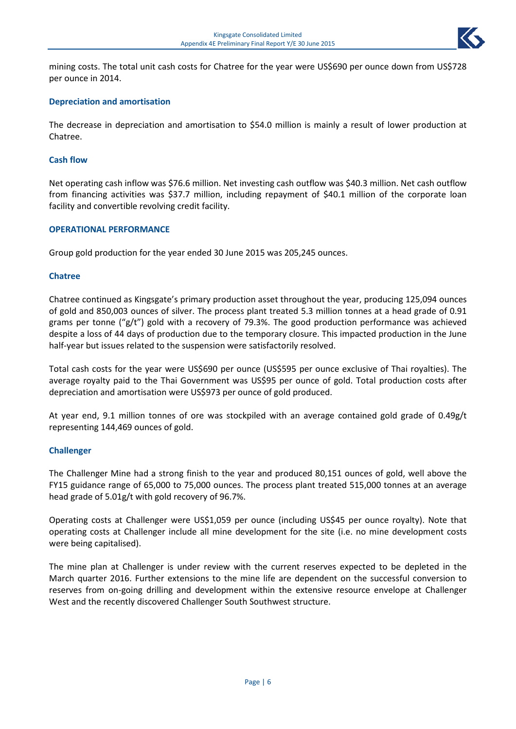

mining costs. The total unit cash costs for Chatree for the year were US\$690 per ounce down from US\$728 per ounce in 2014.

# **Depreciation and amortisation**

The decrease in depreciation and amortisation to \$54.0 million is mainly a result of lower production at Chatree.

#### **Cash flow**

Net operating cash inflow was \$76.6 million. Net investing cash outflow was \$40.3 million. Net cash outflow from financing activities was \$37.7 million, including repayment of \$40.1 million of the corporate loan facility and convertible revolving credit facility.

#### **OPERATIONAL PERFORMANCE**

Group gold production for the year ended 30 June 2015 was 205,245 ounces.

#### **Chatree**

Chatree continued as Kingsgate's primary production asset throughout the year, producing 125,094 ounces of gold and 850,003 ounces of silver. The process plant treated 5.3 million tonnes at a head grade of 0.91 grams per tonne (" $g/t$ ") gold with a recovery of 79.3%. The good production performance was achieved despite a loss of 44 days of production due to the temporary closure. This impacted production in the June half-year but issues related to the suspension were satisfactorily resolved.

Total cash costs for the year were US\$690 per ounce (US\$595 per ounce exclusive of Thai royalties). The average royalty paid to the Thai Government was US\$95 per ounce of gold. Total production costs after depreciation and amortisation were US\$973 per ounce of gold produced.

At year end, 9.1 million tonnes of ore was stockpiled with an average contained gold grade of 0.49g/t representing 144,469 ounces of gold.

#### **Challenger**

The Challenger Mine had a strong finish to the year and produced 80,151 ounces of gold, well above the FY15 guidance range of 65,000 to 75,000 ounces. The process plant treated 515,000 tonnes at an average head grade of 5.01g/t with gold recovery of 96.7%.

Operating costs at Challenger were US\$1,059 per ounce (including US\$45 per ounce royalty). Note that operating costs at Challenger include all mine development for the site (i.e. no mine development costs were being capitalised).

The mine plan at Challenger is under review with the current reserves expected to be depleted in the March quarter 2016. Further extensions to the mine life are dependent on the successful conversion to reserves from on-going drilling and development within the extensive resource envelope at Challenger West and the recently discovered Challenger South Southwest structure.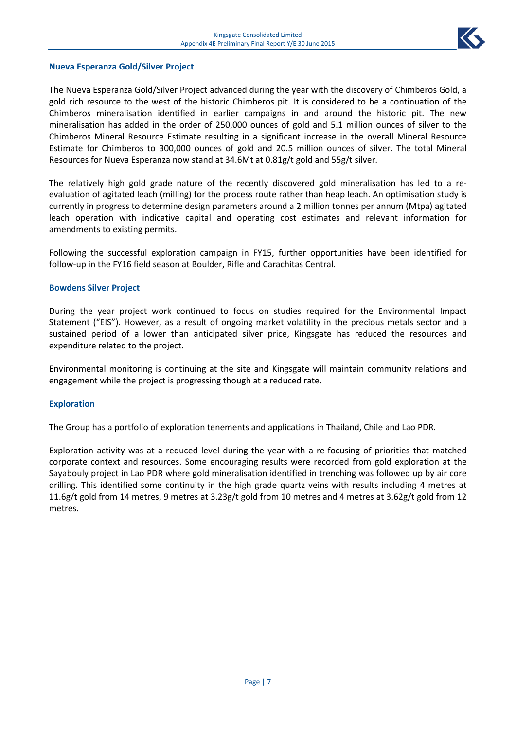

#### **Nueva Esperanza Gold/Silver Project**

The Nueva Esperanza Gold/Silver Project advanced during the year with the discovery of Chimberos Gold, a gold rich resource to the west of the historic Chimberos pit. It is considered to be a continuation of the Chimberos mineralisation identified in earlier campaigns in and around the historic pit. The new mineralisation has added in the order of 250,000 ounces of gold and 5.1 million ounces of silver to the Chimberos Mineral Resource Estimate resulting in a significant increase in the overall Mineral Resource Estimate for Chimberos to 300,000 ounces of gold and 20.5 million ounces of silver. The total Mineral Resources for Nueva Esperanza now stand at 34.6Mt at 0.81g/t gold and 55g/t silver.

The relatively high gold grade nature of the recently discovered gold mineralisation has led to a reevaluation of agitated leach (milling) for the process route rather than heap leach. An optimisation study is currently in progress to determine design parameters around a 2 million tonnes per annum (Mtpa) agitated leach operation with indicative capital and operating cost estimates and relevant information for amendments to existing permits.

Following the successful exploration campaign in FY15, further opportunities have been identified for follow-up in the FY16 field season at Boulder, Rifle and Carachitas Central.

#### **Bowdens Silver Project**

During the year project work continued to focus on studies required for the Environmental Impact Statement ("EIS"). However, as a result of ongoing market volatility in the precious metals sector and a sustained period of a lower than anticipated silver price, Kingsgate has reduced the resources and expenditure related to the project.

Environmental monitoring is continuing at the site and Kingsgate will maintain community relations and engagement while the project is progressing though at a reduced rate.

#### **Exploration**

The Group has a portfolio of exploration tenements and applications in Thailand, Chile and Lao PDR.

Exploration activity was at a reduced level during the year with a re-focusing of priorities that matched corporate context and resources. Some encouraging results were recorded from gold exploration at the Sayabouly project in Lao PDR where gold mineralisation identified in trenching was followed up by air core drilling. This identified some continuity in the high grade quartz veins with results including 4 metres at 11.6g/t gold from 14 metres, 9 metres at 3.23g/t gold from 10 metres and 4 metres at 3.62g/t gold from 12 metres.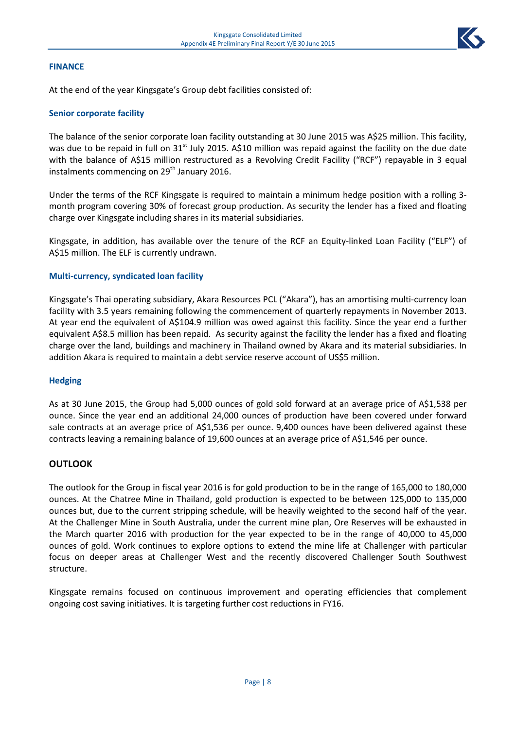# **FINANCE**

At the end of the year Kingsgate's Group debt facilities consisted of:

#### **Senior corporate facility**

The balance of the senior corporate loan facility outstanding at 30 June 2015 was A\$25 million. This facility, was due to be repaid in full on 31<sup>st</sup> July 2015. A\$10 million was repaid against the facility on the due date with the balance of A\$15 million restructured as a Revolving Credit Facility ("RCF") repayable in 3 equal instalments commencing on  $29<sup>th</sup>$  January 2016.

Under the terms of the RCF Kingsgate is required to maintain a minimum hedge position with a rolling 3 month program covering 30% of forecast group production. As security the lender has a fixed and floating charge over Kingsgate including shares in its material subsidiaries.

Kingsgate, in addition, has available over the tenure of the RCF an Equity-linked Loan Facility ("ELF") of A\$15 million. The ELF is currently undrawn.

#### **Multi-currency, syndicated loan facility**

Kingsgate's Thai operating subsidiary, Akara Resources PCL ("Akara"), has an amortising multi-currency loan facility with 3.5 years remaining following the commencement of quarterly repayments in November 2013. At year end the equivalent of A\$104.9 million was owed against this facility. Since the year end a further equivalent A\$8.5 million has been repaid. As security against the facility the lender has a fixed and floating charge over the land, buildings and machinery in Thailand owned by Akara and its material subsidiaries. In addition Akara is required to maintain a debt service reserve account of US\$5 million.

#### **Hedging**

As at 30 June 2015, the Group had 5,000 ounces of gold sold forward at an average price of A\$1,538 per ounce. Since the year end an additional 24,000 ounces of production have been covered under forward sale contracts at an average price of A\$1,536 per ounce. 9,400 ounces have been delivered against these contracts leaving a remaining balance of 19,600 ounces at an average price of A\$1,546 per ounce.

#### **OUTLOOK**

The outlook for the Group in fiscal year 2016 is for gold production to be in the range of 165,000 to 180,000 ounces. At the Chatree Mine in Thailand, gold production is expected to be between 125,000 to 135,000 ounces but, due to the current stripping schedule, will be heavily weighted to the second half of the year. At the Challenger Mine in South Australia, under the current mine plan, Ore Reserves will be exhausted in the March quarter 2016 with production for the year expected to be in the range of 40,000 to 45,000 ounces of gold. Work continues to explore options to extend the mine life at Challenger with particular focus on deeper areas at Challenger West and the recently discovered Challenger South Southwest structure.

Kingsgate remains focused on continuous improvement and operating efficiencies that complement ongoing cost saving initiatives. It is targeting further cost reductions in FY16.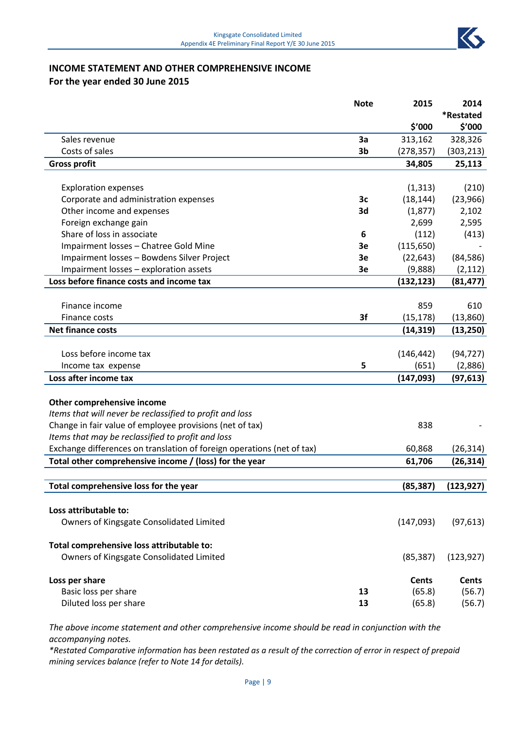

# **INCOME STATEMENT AND OTHER COMPREHENSIVE INCOME For the year ended 30 June 2015**

|                                                                        | <b>Note</b>    | 2015         | 2014         |
|------------------------------------------------------------------------|----------------|--------------|--------------|
|                                                                        |                |              | *Restated    |
|                                                                        |                | \$'000       | \$'000       |
| Sales revenue                                                          | 3a             | 313,162      | 328,326      |
| Costs of sales                                                         | 3 <sub>b</sub> | (278, 357)   | (303, 213)   |
| <b>Gross profit</b>                                                    |                | 34,805       | 25,113       |
|                                                                        |                |              |              |
| <b>Exploration expenses</b>                                            |                | (1, 313)     | (210)        |
| Corporate and administration expenses                                  | 3c             | (18, 144)    | (23,966)     |
| Other income and expenses                                              | 3d             | (1,877)      | 2,102        |
| Foreign exchange gain                                                  |                | 2,699        | 2,595        |
| Share of loss in associate                                             | 6              | (112)        | (413)        |
| Impairment losses - Chatree Gold Mine                                  | 3e             | (115, 650)   |              |
| Impairment losses - Bowdens Silver Project                             | 3e             | (22, 643)    | (84, 586)    |
| Impairment losses - exploration assets                                 | 3e             | (9,888)      | (2, 112)     |
| Loss before finance costs and income tax                               |                | (132, 123)   | (81, 477)    |
|                                                                        |                |              |              |
| Finance income                                                         |                | 859          | 610          |
| Finance costs                                                          | 3f             | (15, 178)    | (13,860)     |
| <b>Net finance costs</b>                                               |                | (14, 319)    | (13, 250)    |
|                                                                        |                |              |              |
| Loss before income tax                                                 |                | (146, 442)   | (94, 727)    |
| Income tax expense                                                     | 5              | (651)        | (2,886)      |
| Loss after income tax                                                  |                | (147, 093)   | (97, 613)    |
|                                                                        |                |              |              |
| Other comprehensive income                                             |                |              |              |
| Items that will never be reclassified to profit and loss               |                |              |              |
| Change in fair value of employee provisions (net of tax)               |                | 838          |              |
| Items that may be reclassified to profit and loss                      |                |              |              |
| Exchange differences on translation of foreign operations (net of tax) |                | 60,868       | (26, 314)    |
| Total other comprehensive income / (loss) for the year                 |                | 61,706       | (26, 314)    |
|                                                                        |                |              |              |
| Total comprehensive loss for the year                                  |                | (85, 387)    | (123, 927)   |
|                                                                        |                |              |              |
| Loss attributable to:                                                  |                |              |              |
| Owners of Kingsgate Consolidated Limited                               |                | (147,093)    | (97, 613)    |
|                                                                        |                |              |              |
| Total comprehensive loss attributable to:                              |                |              |              |
| Owners of Kingsgate Consolidated Limited                               |                | (85, 387)    | (123, 927)   |
|                                                                        |                |              |              |
| Loss per share                                                         |                | <b>Cents</b> | <b>Cents</b> |
| Basic loss per share                                                   | 13             | (65.8)       | (56.7)       |
| Diluted loss per share                                                 | 13             | (65.8)       | (56.7)       |

*The above income statement and other comprehensive income should be read in conjunction with the accompanying notes.*

*\*Restated Comparative information has been restated as a result of the correction of error in respect of prepaid mining services balance (refer to Note 14 for details).*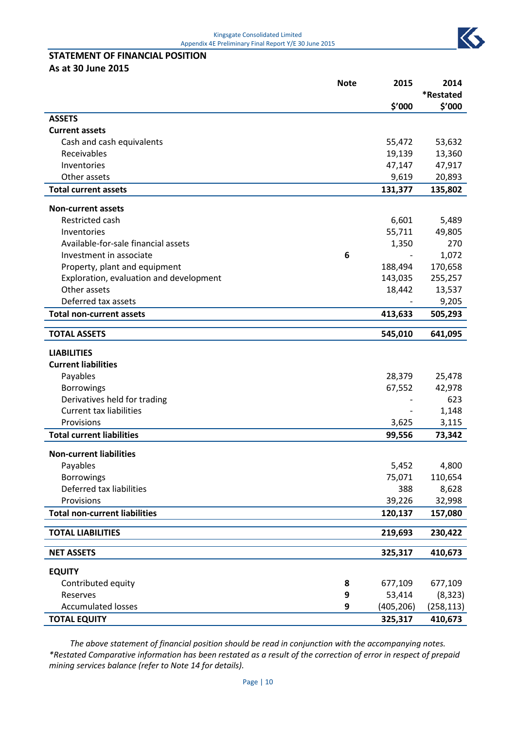K

# **STATEMENT OF FINANCIAL POSITION**

**As at 30 June 2015**

|                                         | <b>Note</b> | 2015       | 2014                |
|-----------------------------------------|-------------|------------|---------------------|
|                                         |             | \$'000     | *Restated<br>\$′000 |
| <b>ASSETS</b>                           |             |            |                     |
| <b>Current assets</b>                   |             |            |                     |
| Cash and cash equivalents               |             | 55,472     | 53,632              |
| Receivables                             |             | 19,139     | 13,360              |
| Inventories                             |             | 47,147     | 47,917              |
| Other assets                            |             | 9,619      | 20,893              |
| <b>Total current assets</b>             |             | 131,377    | 135,802             |
| <b>Non-current assets</b>               |             |            |                     |
| Restricted cash                         |             | 6,601      | 5,489               |
| Inventories                             |             | 55,711     | 49,805              |
| Available-for-sale financial assets     |             | 1,350      | 270                 |
| Investment in associate                 | 6           |            | 1,072               |
| Property, plant and equipment           |             | 188,494    | 170,658             |
| Exploration, evaluation and development |             | 143,035    | 255,257             |
| Other assets                            |             | 18,442     | 13,537              |
| Deferred tax assets                     |             |            | 9,205               |
| <b>Total non-current assets</b>         |             | 413,633    | 505,293             |
| <b>TOTAL ASSETS</b>                     |             | 545,010    | 641,095             |
| <b>LIABILITIES</b>                      |             |            |                     |
| <b>Current liabilities</b>              |             |            |                     |
| Payables                                |             | 28,379     | 25,478              |
| <b>Borrowings</b>                       |             | 67,552     | 42,978              |
| Derivatives held for trading            |             |            | 623                 |
| <b>Current tax liabilities</b>          |             |            | 1,148               |
| Provisions                              |             | 3,625      | 3,115               |
| <b>Total current liabilities</b>        |             | 99,556     | 73,342              |
| <b>Non-current liabilities</b>          |             |            |                     |
| Payables                                |             | 5,452      | 4,800               |
| <b>Borrowings</b>                       |             | 75,071     | 110,654             |
| Deferred tax liabilities                |             | 388        | 8,628               |
| Provisions                              |             | 39,226     | 32,998              |
| <b>Total non-current liabilities</b>    |             | 120,137    | 157,080             |
| <b>TOTAL LIABILITIES</b>                |             | 219,693    | 230,422             |
|                                         |             |            |                     |
| <b>NET ASSETS</b>                       |             | 325,317    | 410,673             |
| <b>EQUITY</b>                           |             |            |                     |
| Contributed equity                      | 8           | 677,109    | 677,109             |
| Reserves                                | 9           | 53,414     | (8, 323)            |
| <b>Accumulated losses</b>               | 9           | (405, 206) | (258, 113)          |
| <b>TOTAL EQUITY</b>                     |             | 325,317    | 410,673             |

*The above statement of financial position should be read in conjunction with the accompanying notes. \*Restated Comparative information has been restated as a result of the correction of error in respect of prepaid mining services balance (refer to Note 14 for details).*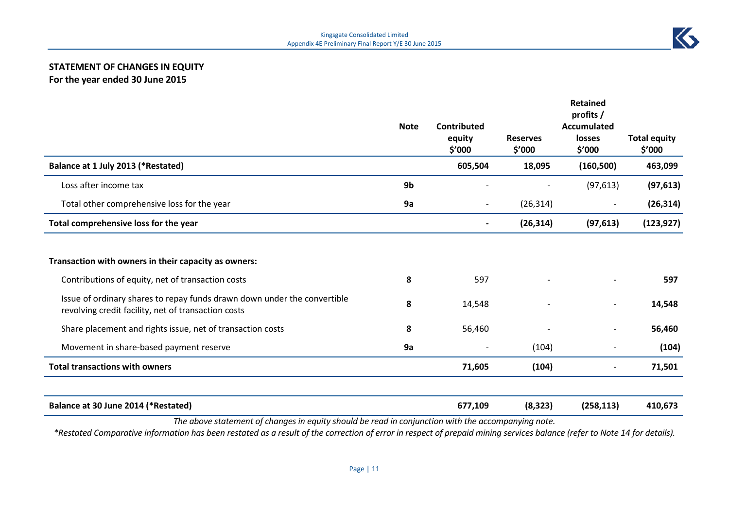# **STATEMENT OF CHANGES IN EQUITY For the year ended 30 June 2015**

|                                                                                                                                 | <b>Note</b> | <b>Contributed</b><br>equity<br>\$′000 | <b>Reserves</b><br>\$'000 | <b>Retained</b><br>profits/<br><b>Accumulated</b><br>losses<br>\$′000 | <b>Total equity</b><br>\$'000 |
|---------------------------------------------------------------------------------------------------------------------------------|-------------|----------------------------------------|---------------------------|-----------------------------------------------------------------------|-------------------------------|
| Balance at 1 July 2013 (*Restated)                                                                                              |             | 605,504                                | 18,095                    | (160, 500)                                                            | 463,099                       |
| Loss after income tax                                                                                                           | 9b          |                                        |                           | (97, 613)                                                             | (97, 613)                     |
| Total other comprehensive loss for the year                                                                                     | 9a          | $\overline{\phantom{a}}$               | (26, 314)                 | $\overline{\phantom{a}}$                                              | (26, 314)                     |
| Total comprehensive loss for the year                                                                                           |             |                                        | (26, 314)                 | (97, 613)                                                             | (123, 927)                    |
| Transaction with owners in their capacity as owners:                                                                            |             |                                        |                           |                                                                       |                               |
| Contributions of equity, net of transaction costs                                                                               | 8           | 597                                    |                           |                                                                       | 597                           |
| Issue of ordinary shares to repay funds drawn down under the convertible<br>revolving credit facility, net of transaction costs | 8           | 14,548                                 |                           |                                                                       | 14,548                        |
| Share placement and rights issue, net of transaction costs                                                                      | 8           | 56,460                                 |                           |                                                                       | 56,460                        |
| Movement in share-based payment reserve                                                                                         | 9a          |                                        | (104)                     |                                                                       | (104)                         |
| <b>Total transactions with owners</b>                                                                                           |             | 71,605                                 | (104)                     |                                                                       | 71,501                        |
| Balance at 30 June 2014 (*Restated)                                                                                             |             | 677,109                                | (8, 323)                  | (258, 113)                                                            | 410,673                       |

*The above statement of changes in equity should be read in conjunction with the accompanying note.*

*\*Restated Comparative information has been restated as a result of the correction of error in respect of prepaid mining services balance (refer to Note 14 for details).*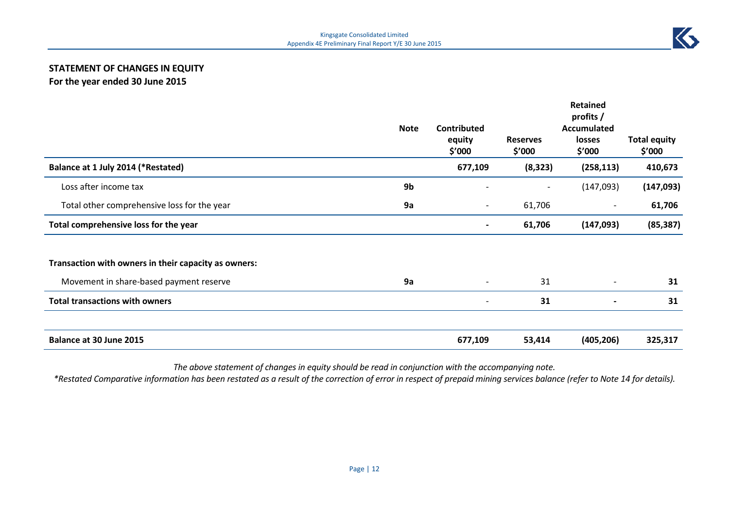# **STATEMENT OF CHANGES IN EQUITY For the year ended 30 June 2015**

|                                                      |             |                                        | <b>Retained</b><br>profits / |                                        |                               |  |
|------------------------------------------------------|-------------|----------------------------------------|------------------------------|----------------------------------------|-------------------------------|--|
|                                                      | <b>Note</b> | <b>Contributed</b><br>equity<br>\$′000 | <b>Reserves</b><br>\$′000    | <b>Accumulated</b><br>losses<br>\$′000 | <b>Total equity</b><br>\$'000 |  |
| Balance at 1 July 2014 (*Restated)                   |             | 677,109                                | (8, 323)                     | (258, 113)                             | 410,673                       |  |
| Loss after income tax                                | 9b          |                                        |                              | (147,093)                              | (147,093)                     |  |
| Total other comprehensive loss for the year          | 9a          | $\overline{\phantom{a}}$               | 61,706                       | $\overline{\phantom{a}}$               | 61,706                        |  |
| Total comprehensive loss for the year                |             | $\overline{\phantom{0}}$               | 61,706                       | (147,093)                              | (85, 387)                     |  |
| Transaction with owners in their capacity as owners: |             |                                        |                              |                                        |                               |  |
| Movement in share-based payment reserve              | 9a          | $\overline{\phantom{a}}$               | 31                           | $\overline{\phantom{a}}$               | 31                            |  |
| <b>Total transactions with owners</b>                |             | $\overline{\phantom{a}}$               | 31                           |                                        | 31                            |  |
| Balance at 30 June 2015                              |             | 677,109                                | 53,414                       | (405, 206)                             | 325,317                       |  |

*The above statement of changes in equity should be read in conjunction with the accompanying note.*

*\*Restated Comparative information has been restated as a result of the correction of error in respect of prepaid mining services balance (refer to Note 14 for details).*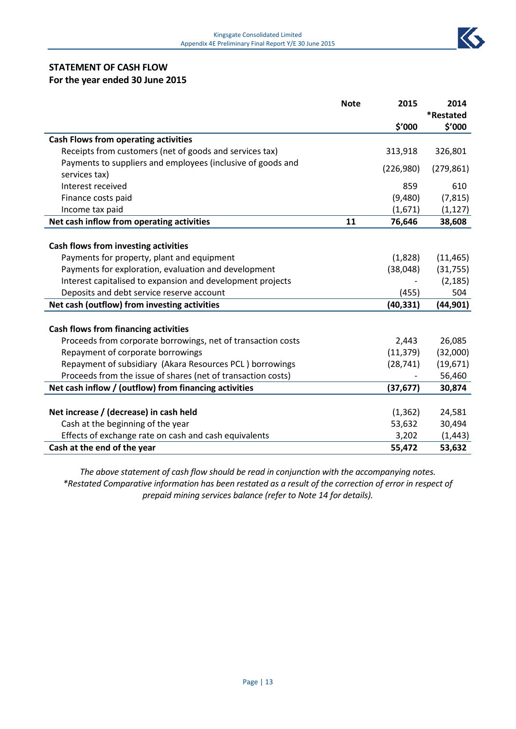

# **STATEMENT OF CASH FLOW For the year ended 30 June 2015**

|                                                              | <b>Note</b> | 2015      | 2014       |
|--------------------------------------------------------------|-------------|-----------|------------|
|                                                              |             |           | *Restated  |
|                                                              |             | \$'000    | \$′000     |
| <b>Cash Flows from operating activities</b>                  |             |           |            |
| Receipts from customers (net of goods and services tax)      |             | 313,918   | 326,801    |
| Payments to suppliers and employees (inclusive of goods and  |             | (226,980) | (279, 861) |
| services tax)                                                |             |           |            |
| Interest received                                            |             | 859       | 610        |
| Finance costs paid                                           |             | (9,480)   | (7, 815)   |
| Income tax paid                                              |             | (1,671)   | (1, 127)   |
| Net cash inflow from operating activities                    | 11          | 76,646    | 38,608     |
|                                                              |             |           |            |
| Cash flows from investing activities                         |             |           |            |
| Payments for property, plant and equipment                   |             | (1,828)   | (11, 465)  |
| Payments for exploration, evaluation and development         |             | (38,048)  | (31, 755)  |
| Interest capitalised to expansion and development projects   |             |           | (2, 185)   |
| Deposits and debt service reserve account                    |             | (455)     | 504        |
| Net cash (outflow) from investing activities                 |             | (40, 331) | (44, 901)  |
|                                                              |             |           |            |
| <b>Cash flows from financing activities</b>                  |             |           |            |
| Proceeds from corporate borrowings, net of transaction costs |             | 2,443     | 26,085     |
| Repayment of corporate borrowings                            |             | (11, 379) | (32,000)   |
| Repayment of subsidiary (Akara Resources PCL) borrowings     |             | (28, 741) | (19,671)   |
| Proceeds from the issue of shares (net of transaction costs) |             |           | 56,460     |
| Net cash inflow / (outflow) from financing activities        |             | (37, 677) | 30,874     |
|                                                              |             |           |            |
| Net increase / (decrease) in cash held                       |             | (1, 362)  | 24,581     |
| Cash at the beginning of the year                            |             | 53,632    | 30,494     |
| Effects of exchange rate on cash and cash equivalents        |             | 3,202     | (1, 443)   |
| Cash at the end of the year                                  |             | 55,472    | 53,632     |

*The above statement of cash flow should be read in conjunction with the accompanying notes. \*Restated Comparative information has been restated as a result of the correction of error in respect of prepaid mining services balance (refer to Note 14 for details).*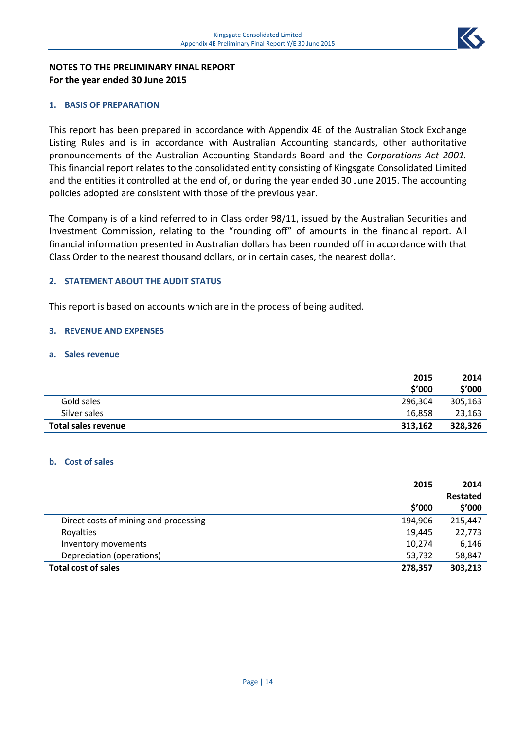

# **NOTES TO THE PRELIMINARY FINAL REPORT For the year ended 30 June 2015**

# **1. BASIS OF PREPARATION**

This report has been prepared in accordance with Appendix 4E of the Australian Stock Exchange Listing Rules and is in accordance with Australian Accounting standards, other authoritative pronouncements of the Australian Accounting Standards Board and the C*orporations Act 2001.*  This financial report relates to the consolidated entity consisting of Kingsgate Consolidated Limited and the entities it controlled at the end of, or during the year ended 30 June 2015. The accounting policies adopted are consistent with those of the previous year.

The Company is of a kind referred to in Class order 98/11, issued by the Australian Securities and Investment Commission, relating to the "rounding off" of amounts in the financial report. All financial information presented in Australian dollars has been rounded off in accordance with that Class Order to the nearest thousand dollars, or in certain cases, the nearest dollar.

# **2. STATEMENT ABOUT THE AUDIT STATUS**

This report is based on accounts which are in the process of being audited.

# **3. REVENUE AND EXPENSES**

# **a. Sales revenue**

|                     | 2015<br>\$'000 | 2014<br>\$'000 |
|---------------------|----------------|----------------|
| Gold sales          | 296,304        | 305,163        |
| Silver sales        | 16.858         | 23,163         |
| Total sales revenue | 313,162        | 328,326        |

# **b. Cost of sales**

|                                       | 2015    | 2014     |
|---------------------------------------|---------|----------|
|                                       |         | Restated |
|                                       | \$′000  | \$'000   |
| Direct costs of mining and processing | 194,906 | 215,447  |
| Royalties                             | 19,445  | 22,773   |
| Inventory movements                   | 10,274  | 6,146    |
| Depreciation (operations)             | 53,732  | 58,847   |
| <b>Total cost of sales</b>            | 278,357 | 303,213  |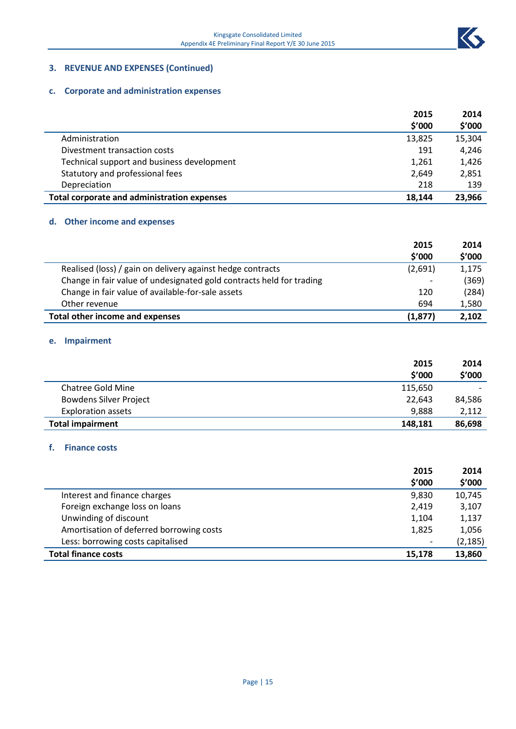

# **3. REVENUE AND EXPENSES (Continued)**

# **c. Corporate and administration expenses**

|                                             | 2015   | 2014   |
|---------------------------------------------|--------|--------|
|                                             | \$'000 | \$'000 |
| Administration                              | 13,825 | 15,304 |
| Divestment transaction costs                | 191    | 4.246  |
| Technical support and business development  | 1,261  | 1,426  |
| Statutory and professional fees             | 2.649  | 2,851  |
| Depreciation                                | 218    | 139    |
| Total corporate and administration expenses | 18.144 | 23,966 |

# **d. Other income and expenses**

|                                                                      | 2015     | 2014   |
|----------------------------------------------------------------------|----------|--------|
|                                                                      | \$'000   | \$'000 |
| Realised (loss) / gain on delivery against hedge contracts           | (2,691)  | 1,175  |
| Change in fair value of undesignated gold contracts held for trading |          | (369)  |
| Change in fair value of available-for-sale assets                    | 120      | (284)  |
| Other revenue                                                        | 694      | 1,580  |
| Total other income and expenses                                      | (1, 877) | 2,102  |

#### **e. Impairment**

|                               | 2015    | 2014                     |
|-------------------------------|---------|--------------------------|
|                               | \$'000  | \$'000                   |
| Chatree Gold Mine             | 115,650 | $\overline{\phantom{0}}$ |
| <b>Bowdens Silver Project</b> | 22.643  | 84,586                   |
| <b>Exploration assets</b>     | 9,888   | 2,112                    |
| <b>Total impairment</b>       | 148,181 | 86,698                   |

#### **f. Finance costs**

|                                          | 2015   | 2014     |
|------------------------------------------|--------|----------|
|                                          | \$'000 | \$'000   |
| Interest and finance charges             | 9,830  | 10,745   |
| Foreign exchange loss on loans           | 2,419  | 3,107    |
| Unwinding of discount                    | 1,104  | 1,137    |
| Amortisation of deferred borrowing costs | 1,825  | 1,056    |
| Less: borrowing costs capitalised        | -      | (2, 185) |
| <b>Total finance costs</b>               | 15,178 | 13,860   |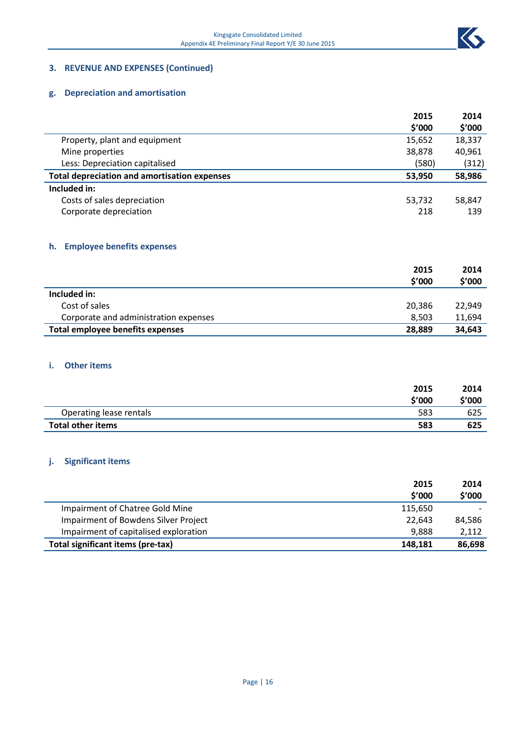

# **3. REVENUE AND EXPENSES (Continued)**

# **g. Depreciation and amortisation**

|                                                     | 2015   | 2014   |
|-----------------------------------------------------|--------|--------|
|                                                     | \$′000 | \$′000 |
| Property, plant and equipment                       | 15,652 | 18,337 |
| Mine properties                                     | 38,878 | 40,961 |
| Less: Depreciation capitalised                      | (580)  | (312)  |
| <b>Total depreciation and amortisation expenses</b> | 53.950 | 58,986 |
| Included in:                                        |        |        |
| Costs of sales depreciation                         | 53,732 | 58,847 |
| Corporate depreciation                              | 218    | 139    |

# **h. Employee benefits expenses**

|                                       | 2015<br>\$'000 | 2014<br>\$'000 |
|---------------------------------------|----------------|----------------|
| Included in:                          |                |                |
| Cost of sales                         | 20,386         | 22,949         |
| Corporate and administration expenses | 8.503          | 11,694         |
| Total employee benefits expenses      | 28.889         | 34,643         |

#### **i. Other items**

|                          | 2015   | 2014   |
|--------------------------|--------|--------|
|                          | \$'000 | \$'000 |
| Operating lease rentals  | 583    | 625    |
| <b>Total other items</b> | 583    | 625    |

# **j. Significant items**

|                                       | 2015    | 2014   |
|---------------------------------------|---------|--------|
|                                       | \$'000  | \$'000 |
| Impairment of Chatree Gold Mine       | 115,650 |        |
| Impairment of Bowdens Silver Project  | 22.643  | 84,586 |
| Impairment of capitalised exploration | 9.888   | 2,112  |
| Total significant items (pre-tax)     | 148,181 | 86,698 |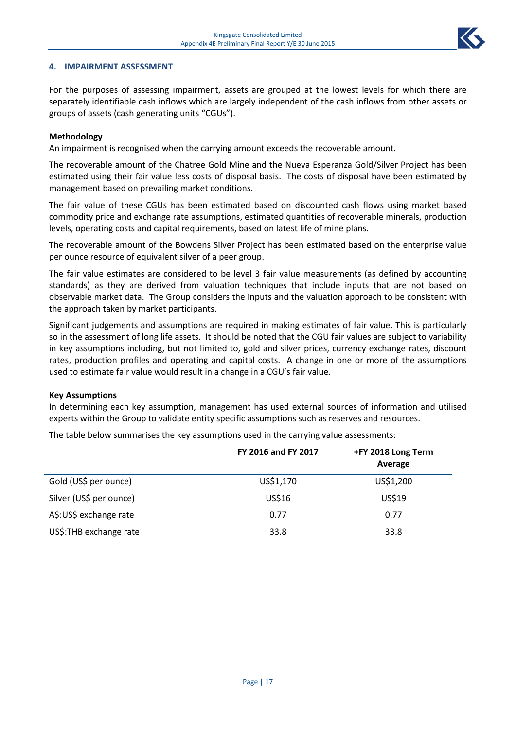

#### **4. IMPAIRMENT ASSESSMENT**

For the purposes of assessing impairment, assets are grouped at the lowest levels for which there are separately identifiable cash inflows which are largely independent of the cash inflows from other assets or groups of assets (cash generating units "CGUs").

#### **Methodology**

An impairment is recognised when the carrying amount exceeds the recoverable amount.

The recoverable amount of the Chatree Gold Mine and the Nueva Esperanza Gold/Silver Project has been estimated using their fair value less costs of disposal basis. The costs of disposal have been estimated by management based on prevailing market conditions.

The fair value of these CGUs has been estimated based on discounted cash flows using market based commodity price and exchange rate assumptions, estimated quantities of recoverable minerals, production levels, operating costs and capital requirements, based on latest life of mine plans.

The recoverable amount of the Bowdens Silver Project has been estimated based on the enterprise value per ounce resource of equivalent silver of a peer group.

The fair value estimates are considered to be level 3 fair value measurements (as defined by accounting standards) as they are derived from valuation techniques that include inputs that are not based on observable market data. The Group considers the inputs and the valuation approach to be consistent with the approach taken by market participants.

Significant judgements and assumptions are required in making estimates of fair value. This is particularly so in the assessment of long life assets. It should be noted that the CGU fair values are subject to variability in key assumptions including, but not limited to, gold and silver prices, currency exchange rates, discount rates, production profiles and operating and capital costs. A change in one or more of the assumptions used to estimate fair value would result in a change in a CGU's fair value.

#### **Key Assumptions**

In determining each key assumption, management has used external sources of information and utilised experts within the Group to validate entity specific assumptions such as reserves and resources.

The table below summarises the key assumptions used in the carrying value assessments:

|                         | FY 2016 and FY 2017 | +FY 2018 Long Term<br>Average |
|-------------------------|---------------------|-------------------------------|
| Gold (US\$ per ounce)   | US\$1,170           | US\$1,200                     |
| Silver (US\$ per ounce) | US\$16              | US\$19                        |
| A\$:US\$ exchange rate  | 0.77                | 0.77                          |
| US\$: THB exchange rate | 33.8                | 33.8                          |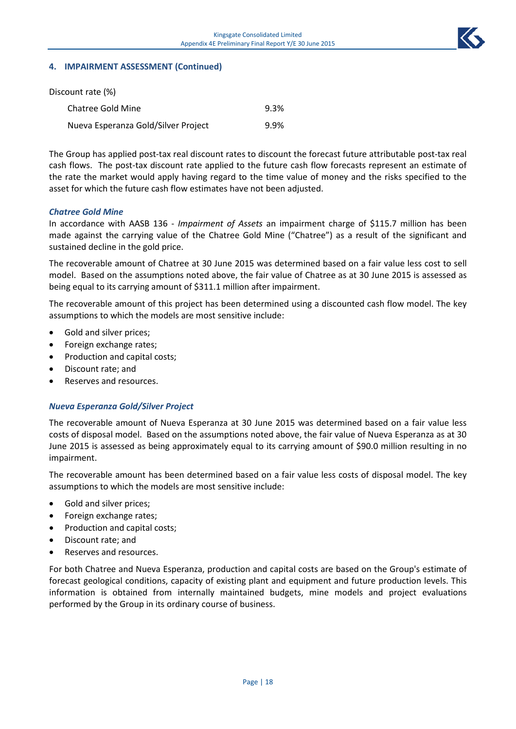

#### **4. IMPAIRMENT ASSESSMENT (Continued)**

| Discount rate (%)                   |      |
|-------------------------------------|------|
| Chatree Gold Mine                   | 9.3% |
| Nueva Esperanza Gold/Silver Project | 9.9% |

The Group has applied post-tax real discount rates to discount the forecast future attributable post-tax real cash flows. The post-tax discount rate applied to the future cash flow forecasts represent an estimate of the rate the market would apply having regard to the time value of money and the risks specified to the asset for which the future cash flow estimates have not been adjusted.

#### *Chatree Gold Mine*

In accordance with AASB 136 - *Impairment of Assets* an impairment charge of \$115.7 million has been made against the carrying value of the Chatree Gold Mine ("Chatree") as a result of the significant and sustained decline in the gold price.

The recoverable amount of Chatree at 30 June 2015 was determined based on a fair value less cost to sell model. Based on the assumptions noted above, the fair value of Chatree as at 30 June 2015 is assessed as being equal to its carrying amount of \$311.1 million after impairment.

The recoverable amount of this project has been determined using a discounted cash flow model. The key assumptions to which the models are most sensitive include:

- Gold and silver prices;
- Foreign exchange rates;
- Production and capital costs;
- Discount rate; and
- Reserves and resources.

#### *Nueva Esperanza Gold/Silver Project*

The recoverable amount of Nueva Esperanza at 30 June 2015 was determined based on a fair value less costs of disposal model. Based on the assumptions noted above, the fair value of Nueva Esperanza as at 30 June 2015 is assessed as being approximately equal to its carrying amount of \$90.0 million resulting in no impairment.

The recoverable amount has been determined based on a fair value less costs of disposal model. The key assumptions to which the models are most sensitive include:

- Gold and silver prices;
- Foreign exchange rates;
- Production and capital costs;
- Discount rate; and
- Reserves and resources.

For both Chatree and Nueva Esperanza, production and capital costs are based on the Group's estimate of forecast geological conditions, capacity of existing plant and equipment and future production levels. This information is obtained from internally maintained budgets, mine models and project evaluations performed by the Group in its ordinary course of business.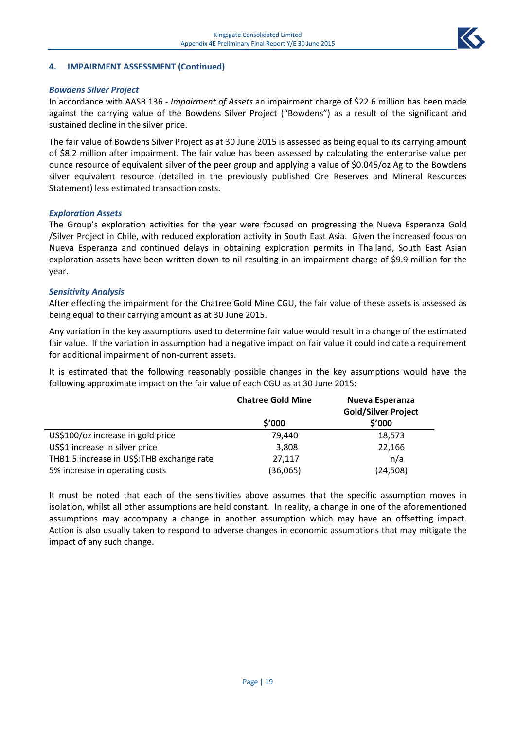

### **4. IMPAIRMENT ASSESSMENT (Continued)**

#### *Bowdens Silver Project*

In accordance with AASB 136 - *Impairment of Assets* an impairment charge of \$22.6 million has been made against the carrying value of the Bowdens Silver Project ("Bowdens") as a result of the significant and sustained decline in the silver price.

The fair value of Bowdens Silver Project as at 30 June 2015 is assessed as being equal to its carrying amount of \$8.2 million after impairment. The fair value has been assessed by calculating the enterprise value per ounce resource of equivalent silver of the peer group and applying a value of \$0.045/oz Ag to the Bowdens silver equivalent resource (detailed in the previously published Ore Reserves and Mineral Resources Statement) less estimated transaction costs.

#### *Exploration Assets*

The Group's exploration activities for the year were focused on progressing the Nueva Esperanza Gold /Silver Project in Chile, with reduced exploration activity in South East Asia. Given the increased focus on Nueva Esperanza and continued delays in obtaining exploration permits in Thailand, South East Asian exploration assets have been written down to nil resulting in an impairment charge of \$9.9 million for the year.

#### *Sensitivity Analysis*

After effecting the impairment for the Chatree Gold Mine CGU, the fair value of these assets is assessed as being equal to their carrying amount as at 30 June 2015.

Any variation in the key assumptions used to determine fair value would result in a change of the estimated fair value. If the variation in assumption had a negative impact on fair value it could indicate a requirement for additional impairment of non-current assets.

It is estimated that the following reasonably possible changes in the key assumptions would have the following approximate impact on the fair value of each CGU as at 30 June 2015:

|                                           | <b>Chatree Gold Mine</b> | Nueva Esperanza<br><b>Gold/Silver Project</b> |
|-------------------------------------------|--------------------------|-----------------------------------------------|
|                                           | \$'000                   | \$'000                                        |
| US\$100/oz increase in gold price         | 79.440                   | 18,573                                        |
| US\$1 increase in silver price            | 3,808                    | 22,166                                        |
| THB1.5 increase in US\$:THB exchange rate | 27,117                   | n/a                                           |
| 5% increase in operating costs            | (36,065)                 | (24, 508)                                     |

It must be noted that each of the sensitivities above assumes that the specific assumption moves in isolation, whilst all other assumptions are held constant. In reality, a change in one of the aforementioned assumptions may accompany a change in another assumption which may have an offsetting impact. Action is also usually taken to respond to adverse changes in economic assumptions that may mitigate the impact of any such change.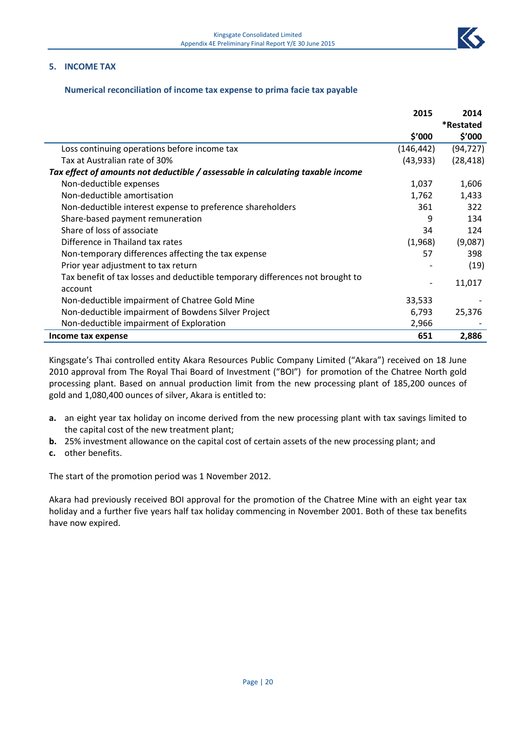#### **5. INCOME TAX**

#### **Numerical reconciliation of income tax expense to prima facie tax payable**

|                                                                                 | 2015       | 2014      |
|---------------------------------------------------------------------------------|------------|-----------|
|                                                                                 |            | *Restated |
|                                                                                 | \$′000     | \$′000    |
| Loss continuing operations before income tax                                    | (146, 442) | (94, 727) |
| Tax at Australian rate of 30%                                                   | (43, 933)  | (28, 418) |
| Tax effect of amounts not deductible / assessable in calculating taxable income |            |           |
| Non-deductible expenses                                                         | 1,037      | 1,606     |
| Non-deductible amortisation                                                     | 1,762      | 1,433     |
| Non-deductible interest expense to preference shareholders                      | 361        | 322       |
| Share-based payment remuneration                                                | 9          | 134       |
| Share of loss of associate                                                      | 34         | 124       |
| Difference in Thailand tax rates                                                | (1,968)    | (9,087)   |
| Non-temporary differences affecting the tax expense                             | 57         | 398       |
| Prior year adjustment to tax return                                             |            | (19)      |
| Tax benefit of tax losses and deductible temporary differences not brought to   |            | 11,017    |
| account                                                                         |            |           |
| Non-deductible impairment of Chatree Gold Mine                                  | 33,533     |           |
| Non-deductible impairment of Bowdens Silver Project                             | 6,793      | 25,376    |
| Non-deductible impairment of Exploration                                        | 2,966      |           |
| Income tax expense                                                              | 651        | 2,886     |

Kingsgate's Thai controlled entity Akara Resources Public Company Limited ("Akara") received on 18 June 2010 approval from The Royal Thai Board of Investment ("BOI") for promotion of the Chatree North gold processing plant. Based on annual production limit from the new processing plant of 185,200 ounces of gold and 1,080,400 ounces of silver, Akara is entitled to:

- **a.** an eight year tax holiday on income derived from the new processing plant with tax savings limited to the capital cost of the new treatment plant;
- **b.** 25% investment allowance on the capital cost of certain assets of the new processing plant; and
- **c.** other benefits.

The start of the promotion period was 1 November 2012.

Akara had previously received BOI approval for the promotion of the Chatree Mine with an eight year tax holiday and a further five years half tax holiday commencing in November 2001. Both of these tax benefits have now expired.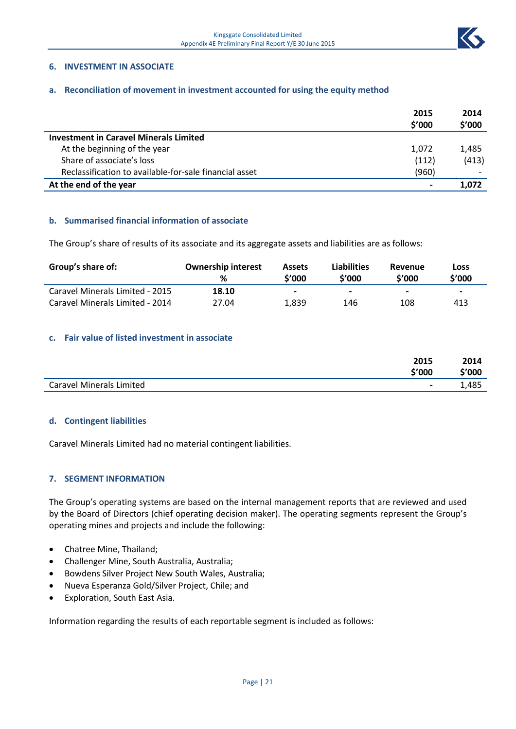

#### **6. INVESTMENT IN ASSOCIATE**

#### **a. Reconciliation of movement in investment accounted for using the equity method**

|                                                        | 2015<br>\$'000 | 2014<br>\$'000           |
|--------------------------------------------------------|----------------|--------------------------|
| <b>Investment in Caravel Minerals Limited</b>          |                |                          |
| At the beginning of the year                           | 1,072          | 1,485                    |
| Share of associate's loss                              | (112)          | (413)                    |
| Reclassification to available-for-sale financial asset | (960)          | $\overline{\phantom{0}}$ |
| At the end of the year                                 |                | 1.072                    |

#### **b. Summarised financial information of associate**

The Group's share of results of its associate and its aggregate assets and liabilities are as follows:

| Group's share of:               | <b>Ownership interest</b><br>% | <b>Assets</b><br>\$'000 | <b>Liabilities</b><br>\$'000 | Revenue<br>\$'000 | Loss<br>\$'000           |
|---------------------------------|--------------------------------|-------------------------|------------------------------|-------------------|--------------------------|
| Caravel Minerals Limited - 2015 | 18.10                          | -                       | $\overline{\phantom{0}}$     | -                 | $\overline{\phantom{0}}$ |
| Caravel Minerals Limited - 2014 | 27.04                          | 1.839                   | 146                          | 108               | 413                      |

#### **c. Fair value of listed investment in associate**

|                                 | 2015                     | 2014   |
|---------------------------------|--------------------------|--------|
|                                 | \$'000                   | \$'000 |
| <b>Caravel Minerals Limited</b> | $\overline{\phantom{0}}$ | 1,485  |

#### **d. Contingent liabilities**

Caravel Minerals Limited had no material contingent liabilities.

#### **7. SEGMENT INFORMATION**

The Group's operating systems are based on the internal management reports that are reviewed and used by the Board of Directors (chief operating decision maker). The operating segments represent the Group's operating mines and projects and include the following:

- Chatree Mine, Thailand;
- Challenger Mine, South Australia, Australia;
- Bowdens Silver Project New South Wales, Australia;
- Nueva Esperanza Gold/Silver Project, Chile; and
- Exploration, South East Asia.

Information regarding the results of each reportable segment is included as follows: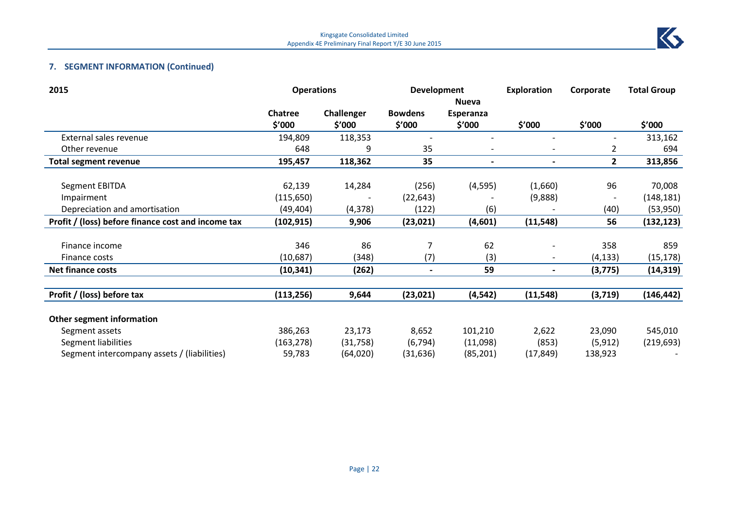

# **7. SEGMENT INFORMATION (Continued)**

| 2015                                               | <b>Operations</b> |            | <b>Development</b>       |                          | <b>Exploration</b>       | Corporate      | <b>Total Group</b> |
|----------------------------------------------------|-------------------|------------|--------------------------|--------------------------|--------------------------|----------------|--------------------|
|                                                    |                   |            |                          | <b>Nueva</b>             |                          |                |                    |
|                                                    | <b>Chatree</b>    | Challenger | <b>Bowdens</b>           | Esperanza                |                          |                |                    |
|                                                    | \$′000            | \$′000     | \$′000                   | \$′000                   | \$'000                   | \$'000         | \$'000             |
| External sales revenue                             | 194,809           | 118,353    | $\overline{\phantom{a}}$ |                          |                          |                | 313,162            |
| Other revenue                                      | 648               | 9          | 35                       |                          |                          | 2              | 694                |
| <b>Total segment revenue</b>                       | 195,457           | 118,362    | 35                       | $\overline{\phantom{a}}$ | $\overline{\phantom{a}}$ | $\overline{2}$ | 313,856            |
| <b>Segment EBITDA</b>                              | 62,139            | 14,284     | (256)                    | (4, 595)                 | (1,660)                  | 96             | 70,008             |
| Impairment                                         | (115, 650)        |            | (22, 643)                |                          | (9,888)                  |                | (148, 181)         |
| Depreciation and amortisation                      | (49, 404)         | (4, 378)   | (122)                    | (6)                      |                          | (40)           | (53, 950)          |
| Profit / (loss) before finance cost and income tax | (102, 915)        | 9,906      | (23, 021)                | (4,601)                  | (11, 548)                | 56             | (132, 123)         |
| Finance income                                     | 346               | 86         | 7                        | 62                       |                          |                |                    |
|                                                    |                   |            |                          |                          |                          | 358            | 859                |
| Finance costs                                      | (10, 687)         | (348)      | (7)                      | (3)                      |                          | (4, 133)       | (15, 178)          |
| <b>Net finance costs</b>                           | (10, 341)         | (262)      |                          | 59                       |                          | (3, 775)       | (14, 319)          |
| Profit / (loss) before tax                         | (113, 256)        | 9,644      | (23, 021)                | (4, 542)                 | (11, 548)                | (3,719)        | (146, 442)         |
|                                                    |                   |            |                          |                          |                          |                |                    |
| <b>Other segment information</b>                   |                   |            |                          |                          |                          |                |                    |
| Segment assets                                     | 386,263           | 23,173     | 8,652                    | 101,210                  | 2,622                    | 23,090         | 545,010            |
| Segment liabilities                                | (163, 278)        | (31,758)   | (6, 794)                 | (11,098)                 | (853)                    | (5, 912)       | (219, 693)         |
| Segment intercompany assets / (liabilities)        | 59,783            | (64, 020)  | (31,636)                 | (85, 201)                | (17, 849)                | 138,923        |                    |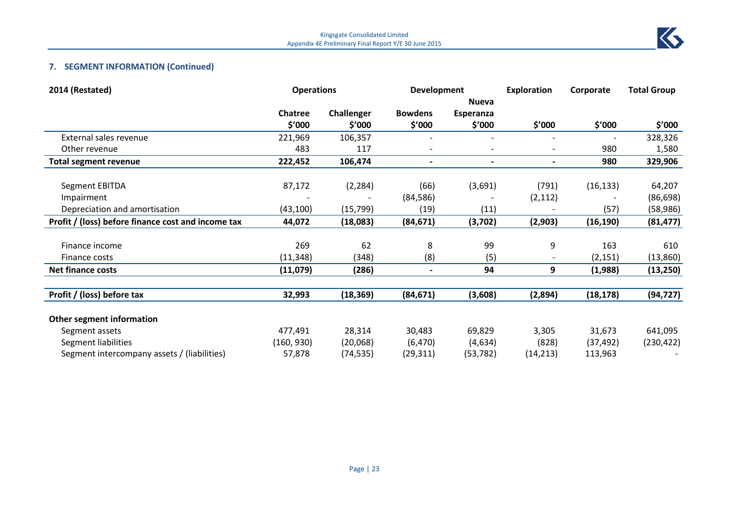

# **7. SEGMENT INFORMATION (Continued)**

| 2014 (Restated)                                    | <b>Operations</b> |            | <b>Development</b>       |                          | <b>Exploration</b> | Corporate | <b>Total Group</b> |
|----------------------------------------------------|-------------------|------------|--------------------------|--------------------------|--------------------|-----------|--------------------|
|                                                    |                   |            |                          | <b>Nueva</b>             |                    |           |                    |
|                                                    | <b>Chatree</b>    | Challenger | <b>Bowdens</b>           | Esperanza                |                    |           |                    |
|                                                    | \$'000            | \$′000     | \$′000                   | \$′000                   | \$′000             | \$'000    | \$'000             |
| External sales revenue                             | 221,969           | 106,357    |                          |                          |                    |           | 328,326            |
| Other revenue                                      | 483               | 117        | $\overline{\phantom{a}}$ |                          |                    | 980       | 1,580              |
| <b>Total segment revenue</b>                       | 222,452           | 106,474    | $\overline{\phantom{0}}$ | $\overline{\phantom{a}}$ |                    | 980       | 329,906            |
| <b>Segment EBITDA</b>                              | 87,172            | (2, 284)   | (66)                     | (3,691)                  | (791)              | (16, 133) | 64,207             |
| Impairment                                         |                   |            | (84, 586)                |                          | (2, 112)           |           | (86, 698)          |
| Depreciation and amortisation                      | (43, 100)         | (15, 799)  | (19)                     | (11)                     |                    | (57)      | (58, 986)          |
| Profit / (loss) before finance cost and income tax | 44,072            | (18,083)   | (84, 671)                | (3,702)                  | (2,903)            | (16, 190) | (81, 477)          |
|                                                    |                   |            |                          |                          |                    |           |                    |
| Finance income                                     | 269               | 62         | 8                        | 99                       | 9                  | 163       | 610                |
| Finance costs                                      | (11, 348)         | (348)      | (8)                      | (5)                      |                    | (2, 151)  | (13,860)           |
| <b>Net finance costs</b>                           | (11,079)          | (286)      | $\blacksquare$           | 94                       | 9                  | (1,988)   | (13, 250)          |
|                                                    |                   |            |                          |                          |                    |           |                    |
| Profit / (loss) before tax                         | 32,993            | (18, 369)  | (84, 671)                | (3,608)                  | (2,894)            | (18, 178) | (94, 727)          |
| <b>Other segment information</b>                   |                   |            |                          |                          |                    |           |                    |
| Segment assets                                     | 477,491           | 28,314     | 30,483                   | 69,829                   | 3,305              | 31,673    | 641,095            |
| Segment liabilities                                | (160, 930)        | (20,068)   | (6, 470)                 | (4,634)                  | (828)              | (37, 492) | (230, 422)         |
| Segment intercompany assets / (liabilities)        | 57,878            | (74, 535)  | (29,311)                 | (53, 782)                | (14, 213)          | 113,963   |                    |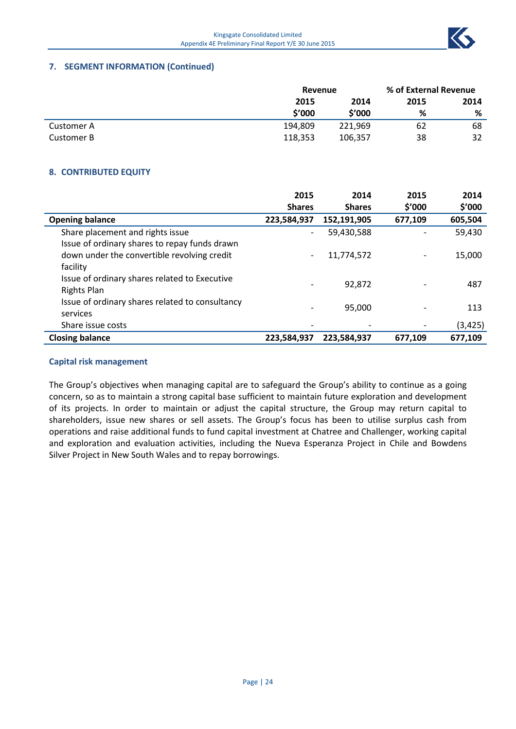# **7. SEGMENT INFORMATION (Continued)**

|            | Revenue |         | % of External Revenue |      |
|------------|---------|---------|-----------------------|------|
|            | 2015    | 2014    | 2015                  | 2014 |
|            | \$'000  | \$'000  | %                     | %    |
| Customer A | 194,809 | 221,969 | 62                    | 68   |
| Customer B | 118,353 | 106,357 | 38                    | 32   |

# **8. CONTRIBUTED EQUITY**

|                                                                     | 2015                     | 2014          | 2015    | 2014     |
|---------------------------------------------------------------------|--------------------------|---------------|---------|----------|
|                                                                     | <b>Shares</b>            | <b>Shares</b> | \$′000  | \$′000   |
| <b>Opening balance</b>                                              | 223,584,937              | 152,191,905   | 677,109 | 605,504  |
| Share placement and rights issue                                    | $\overline{\phantom{0}}$ | 59,430,588    |         | 59,430   |
| Issue of ordinary shares to repay funds drawn                       |                          |               |         |          |
| down under the convertible revolving credit<br>facility             |                          | 11,774,572    |         | 15,000   |
| Issue of ordinary shares related to Executive<br><b>Rights Plan</b> |                          | 92,872        |         | 487      |
| Issue of ordinary shares related to consultancy<br>services         |                          | 95,000        |         | 113      |
| Share issue costs                                                   |                          |               |         | (3, 425) |
| <b>Closing balance</b>                                              | 223,584,937              | 223,584,937   | 677,109 | 677,109  |

#### **Capital risk management**

The Group's objectives when managing capital are to safeguard the Group's ability to continue as a going concern, so as to maintain a strong capital base sufficient to maintain future exploration and development of its projects. In order to maintain or adjust the capital structure, the Group may return capital to shareholders, issue new shares or sell assets. The Group's focus has been to utilise surplus cash from operations and raise additional funds to fund capital investment at Chatree and Challenger, working capital and exploration and evaluation activities, including the Nueva Esperanza Project in Chile and Bowdens Silver Project in New South Wales and to repay borrowings.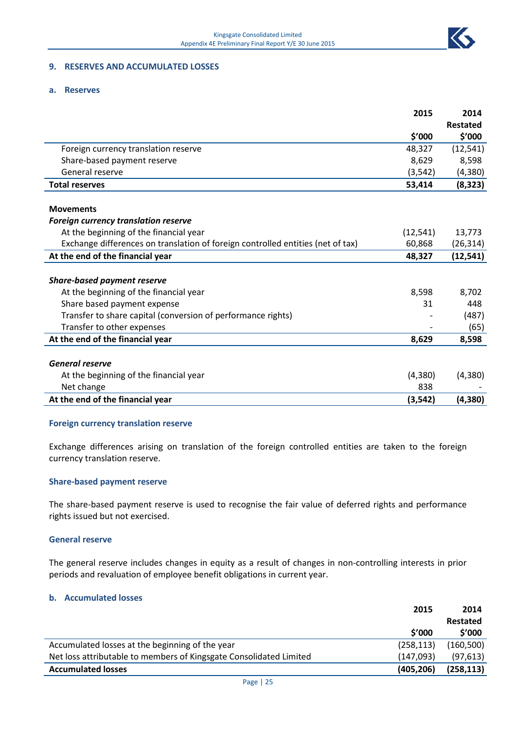

### **9. RESERVES AND ACCUMULATED LOSSES**

#### **a. Reserves**

|                                                                                 | 2015      | 2014            |
|---------------------------------------------------------------------------------|-----------|-----------------|
|                                                                                 |           | <b>Restated</b> |
|                                                                                 | \$'000    | \$′000          |
| Foreign currency translation reserve                                            | 48,327    | (12, 541)       |
| Share-based payment reserve                                                     | 8,629     | 8,598           |
| General reserve                                                                 | (3, 542)  | (4,380)         |
| <b>Total reserves</b>                                                           | 53,414    | (8, 323)        |
| <b>Movements</b>                                                                |           |                 |
| <b>Foreign currency translation reserve</b>                                     |           |                 |
| At the beginning of the financial year                                          | (12, 541) | 13,773          |
| Exchange differences on translation of foreign controlled entities (net of tax) | 60,868    | (26, 314)       |
| At the end of the financial year                                                | 48,327    | (12, 541)       |
|                                                                                 |           |                 |
| <b>Share-based payment reserve</b>                                              |           |                 |
| At the beginning of the financial year                                          | 8,598     | 8,702           |
| Share based payment expense                                                     | 31        | 448             |
| Transfer to share capital (conversion of performance rights)                    |           | (487)           |
| Transfer to other expenses                                                      |           | (65)            |
| At the end of the financial year                                                | 8,629     | 8,598           |
| <b>General reserve</b>                                                          |           |                 |
| At the beginning of the financial year                                          | (4,380)   | (4, 380)        |
| Net change                                                                      | 838       |                 |
| At the end of the financial year                                                | (3, 542)  | (4,380)         |
|                                                                                 |           |                 |

#### **Foreign currency translation reserve**

Exchange differences arising on translation of the foreign controlled entities are taken to the foreign currency translation reserve.

#### **Share-based payment reserve**

The share-based payment reserve is used to recognise the fair value of deferred rights and performance rights issued but not exercised.

#### **General reserve**

The general reserve includes changes in equity as a result of changes in non-controlling interests in prior periods and revaluation of employee benefit obligations in current year.

#### **b. Accumulated losses**

|                                                                    | 2015       | 2014       |
|--------------------------------------------------------------------|------------|------------|
|                                                                    |            | Restated   |
|                                                                    | \$′000     | \$′000     |
| Accumulated losses at the beginning of the year                    | (258, 113) | (160, 500) |
| Net loss attributable to members of Kingsgate Consolidated Limited | (147,093)  | (97, 613)  |
| <b>Accumulated losses</b>                                          | (405, 206) | (258, 113) |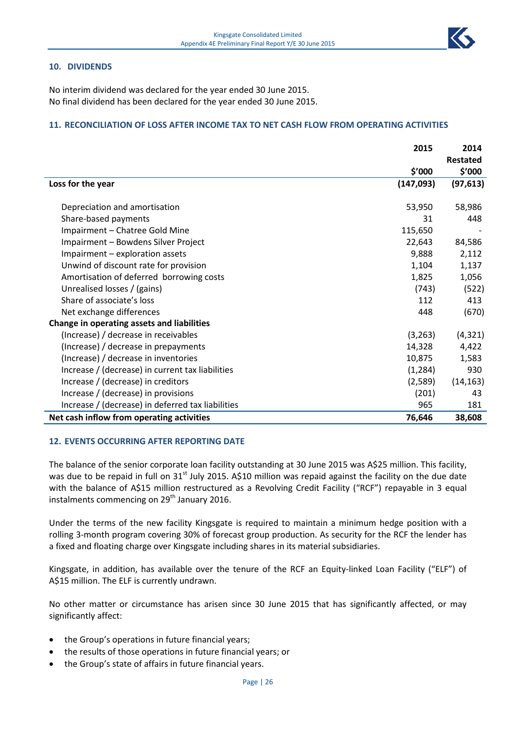#### **10. DIVIDENDS**

No interim dividend was declared for the year ended 30 June 2015. No final dividend has been declared for the year ended 30 June 2015.

#### **11. RECONCILIATION OF LOSS AFTER INCOME TAX TO NET CASH FLOW FROM OPERATING ACTIVITIES**

|                                                   | 2015       | 2014      |
|---------------------------------------------------|------------|-----------|
|                                                   |            | Restated  |
|                                                   | \$'000     | \$′000    |
| Loss for the year                                 | (147, 093) | (97, 613) |
|                                                   |            |           |
| Depreciation and amortisation                     | 53,950     | 58,986    |
| Share-based payments                              | 31         | 448       |
| Impairment - Chatree Gold Mine                    | 115,650    |           |
| Impairment - Bowdens Silver Project               | 22,643     | 84,586    |
| Impairment - exploration assets                   | 9,888      | 2,112     |
| Unwind of discount rate for provision             | 1,104      | 1,137     |
| Amortisation of deferred borrowing costs          | 1,825      | 1,056     |
| Unrealised losses / (gains)                       | (743)      | (522)     |
| Share of associate's loss                         | 112        | 413       |
| Net exchange differences                          | 448        | (670)     |
| Change in operating assets and liabilities        |            |           |
| (Increase) / decrease in receivables              | (3, 263)   | (4, 321)  |
| (Increase) / decrease in prepayments              | 14,328     | 4,422     |
| (Increase) / decrease in inventories              | 10,875     | 1,583     |
| Increase / (decrease) in current tax liabilities  | (1, 284)   | 930       |
| Increase / (decrease) in creditors                | (2,589)    | (14, 163) |
| Increase / (decrease) in provisions               | (201)      | 43        |
| Increase / (decrease) in deferred tax liabilities | 965        | 181       |
| Net cash inflow from operating activities         | 76,646     | 38,608    |

#### **12. EVENTS OCCURRING AFTER REPORTING DATE**

The balance of the senior corporate loan facility outstanding at 30 June 2015 was A\$25 million. This facility, was due to be repaid in full on 31<sup>st</sup> July 2015. A\$10 million was repaid against the facility on the due date with the balance of A\$15 million restructured as a Revolving Credit Facility ("RCF") repayable in 3 equal instalments commencing on 29<sup>th</sup> January 2016.

Under the terms of the new facility Kingsgate is required to maintain a minimum hedge position with a rolling 3-month program covering 30% of forecast group production. As security for the RCF the lender has a fixed and floating charge over Kingsgate including shares in its material subsidiaries.

Kingsgate, in addition, has available over the tenure of the RCF an Equity-linked Loan Facility ("ELF") of A\$15 million. The ELF is currently undrawn.

No other matter or circumstance has arisen since 30 June 2015 that has significantly affected, or may significantly affect:

- the Group's operations in future financial years;
- the results of those operations in future financial years; or
- the Group's state of affairs in future financial years.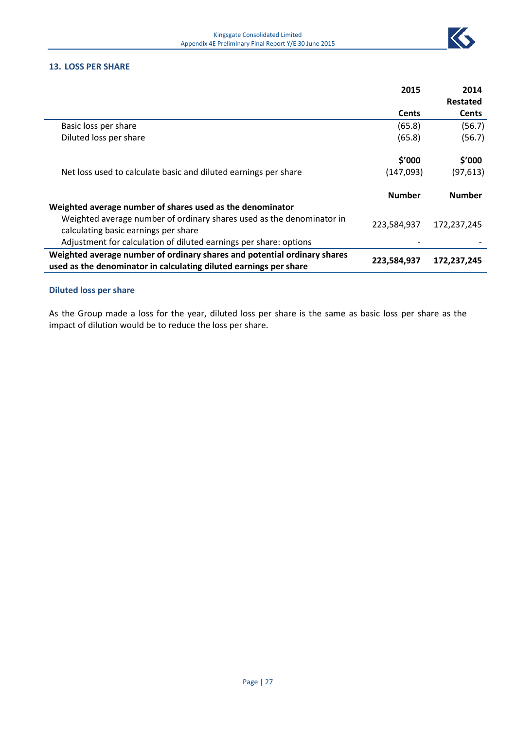

#### **13. LOSS PER SHARE**

|                                                                                                                                               | 2015          | 2014          |
|-----------------------------------------------------------------------------------------------------------------------------------------------|---------------|---------------|
|                                                                                                                                               |               | Restated      |
|                                                                                                                                               | <b>Cents</b>  | <b>Cents</b>  |
| Basic loss per share                                                                                                                          | (65.8)        | (56.7)        |
| Diluted loss per share                                                                                                                        | (65.8)        | (56.7)        |
|                                                                                                                                               | \$′000        | \$′000        |
| Net loss used to calculate basic and diluted earnings per share                                                                               | (147,093)     | (97, 613)     |
|                                                                                                                                               | <b>Number</b> | <b>Number</b> |
| Weighted average number of shares used as the denominator                                                                                     |               |               |
| Weighted average number of ordinary shares used as the denominator in<br>calculating basic earnings per share                                 | 223,584,937   | 172,237,245   |
| Adjustment for calculation of diluted earnings per share: options                                                                             |               |               |
| Weighted average number of ordinary shares and potential ordinary shares<br>used as the denominator in calculating diluted earnings per share | 223,584,937   | 172,237,245   |
|                                                                                                                                               |               |               |

# **Diluted loss per share**

As the Group made a loss for the year, diluted loss per share is the same as basic loss per share as the impact of dilution would be to reduce the loss per share.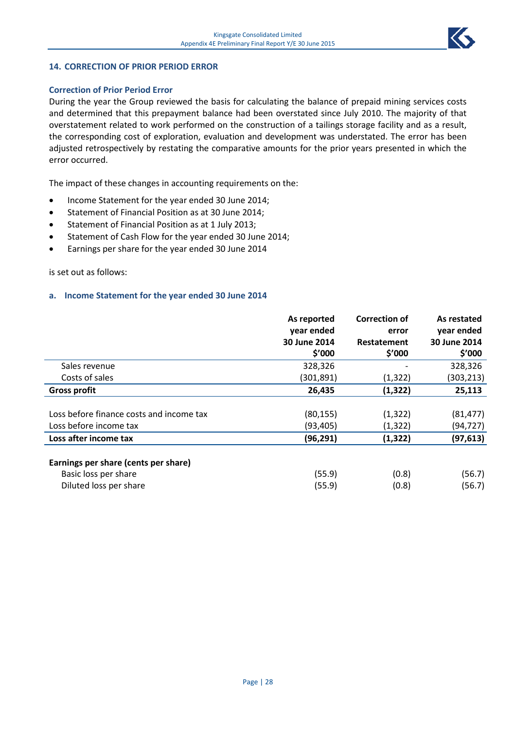

#### **14. CORRECTION OF PRIOR PERIOD ERROR**

#### **Correction of Prior Period Error**

During the year the Group reviewed the basis for calculating the balance of prepaid mining services costs and determined that this prepayment balance had been overstated since July 2010. The majority of that overstatement related to work performed on the construction of a tailings storage facility and as a result, the corresponding cost of exploration, evaluation and development was understated. The error has been adjusted retrospectively by restating the comparative amounts for the prior years presented in which the error occurred.

The impact of these changes in accounting requirements on the:

- Income Statement for the year ended 30 June 2014;
- Statement of Financial Position as at 30 June 2014;
- Statement of Financial Position as at 1 July 2013;
- Statement of Cash Flow for the year ended 30 June 2014;
- Earnings per share for the year ended 30 June 2014

#### is set out as follows:

#### **a. Income Statement for the year ended 30 June 2014**

|                                          | As reported  | <b>Correction of</b> | As restated  |
|------------------------------------------|--------------|----------------------|--------------|
|                                          | year ended   | error                | year ended   |
|                                          | 30 June 2014 | Restatement          | 30 June 2014 |
|                                          | \$′000       | \$′000               | \$′000       |
| Sales revenue                            | 328,326      |                      | 328,326      |
| Costs of sales                           | (301, 891)   | (1, 322)             | (303,213)    |
| <b>Gross profit</b>                      | 26,435       | (1, 322)             | 25,113       |
|                                          |              |                      |              |
| Loss before finance costs and income tax | (80, 155)    | (1, 322)             | (81, 477)    |
| Loss before income tax                   | (93, 405)    | (1, 322)             | (94, 727)    |
| Loss after income tax                    | (96, 291)    | (1, 322)             | (97, 613)    |
| Earnings per share (cents per share)     |              |                      |              |
| Basic loss per share                     | (55.9)       | (0.8)                | (56.7)       |
| Diluted loss per share                   | (55.9)       | (0.8)                | (56.7)       |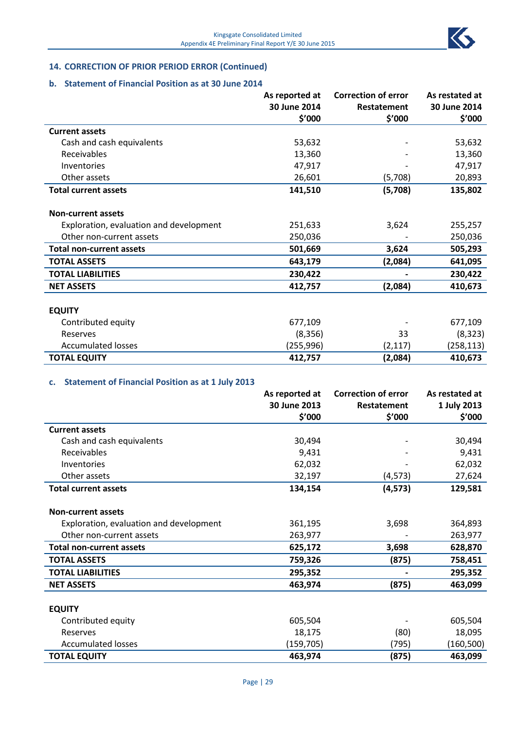

# **14. CORRECTION OF PRIOR PERIOD ERROR (Continued)**

#### **b. Statement of Financial Position as at 30 June 2014**

|                                         | As reported at | <b>Correction of error</b> | As restated at |
|-----------------------------------------|----------------|----------------------------|----------------|
|                                         | 30 June 2014   | Restatement                | 30 June 2014   |
|                                         | \$′000         | \$′000                     | \$'000         |
| <b>Current assets</b>                   |                |                            |                |
| Cash and cash equivalents               | 53,632         |                            | 53,632         |
| Receivables                             | 13,360         |                            | 13,360         |
| Inventories                             | 47,917         |                            | 47,917         |
| Other assets                            | 26,601         | (5,708)                    | 20,893         |
| <b>Total current assets</b>             | 141,510        | (5,708)                    | 135,802        |
| <b>Non-current assets</b>               |                |                            |                |
| Exploration, evaluation and development | 251,633        | 3,624                      | 255,257        |
| Other non-current assets                | 250,036        |                            | 250,036        |
| <b>Total non-current assets</b>         | 501,669        | 3,624                      | 505,293        |
| <b>TOTAL ASSETS</b>                     | 643,179        | (2,084)                    | 641,095        |
| <b>TOTAL LIABILITIES</b>                | 230,422        |                            | 230,422        |
| <b>NET ASSETS</b>                       | 412,757        | (2,084)                    | 410,673        |
| <b>EQUITY</b>                           |                |                            |                |
|                                         |                |                            |                |
| Contributed equity                      | 677,109        |                            | 677,109        |
| Reserves                                | (8,356)        | 33                         | (8, 323)       |
| <b>Accumulated losses</b>               | (255,996)      | (2, 117)                   | (258, 113)     |
| <b>TOTAL EQUITY</b>                     | 412,757        | (2,084)                    | 410,673        |

# **c. Statement of Financial Position as at 1 July 2013**

|                                         | As reported at | <b>Correction of error</b> | As restated at |
|-----------------------------------------|----------------|----------------------------|----------------|
|                                         | 30 June 2013   | Restatement                | 1 July 2013    |
|                                         | \$′000         | \$′000                     | \$′000         |
| <b>Current assets</b>                   |                |                            |                |
| Cash and cash equivalents               | 30,494         |                            | 30,494         |
| <b>Receivables</b>                      | 9,431          |                            | 9,431          |
| Inventories                             | 62,032         |                            | 62,032         |
| Other assets                            | 32,197         | (4, 573)                   | 27,624         |
| <b>Total current assets</b>             | 134,154        | (4, 573)                   | 129,581        |
| <b>Non-current assets</b>               |                |                            |                |
| Exploration, evaluation and development | 361,195        | 3,698                      | 364,893        |
| Other non-current assets                | 263,977        |                            | 263,977        |
| <b>Total non-current assets</b>         | 625,172        | 3,698                      | 628,870        |
| <b>TOTAL ASSETS</b>                     | 759,326        | (875)                      | 758,451        |
| <b>TOTAL LIABILITIES</b>                | 295,352        |                            | 295,352        |
| <b>NET ASSETS</b>                       | 463,974        | (875)                      | 463,099        |
| <b>EQUITY</b>                           |                |                            |                |
| Contributed equity                      | 605,504        |                            | 605,504        |
| Reserves                                | 18,175         | (80)                       | 18,095         |
| <b>Accumulated losses</b>               | (159, 705)     | (795)                      | (160, 500)     |
| <b>TOTAL EQUITY</b>                     | 463,974        | (875)                      | 463,099        |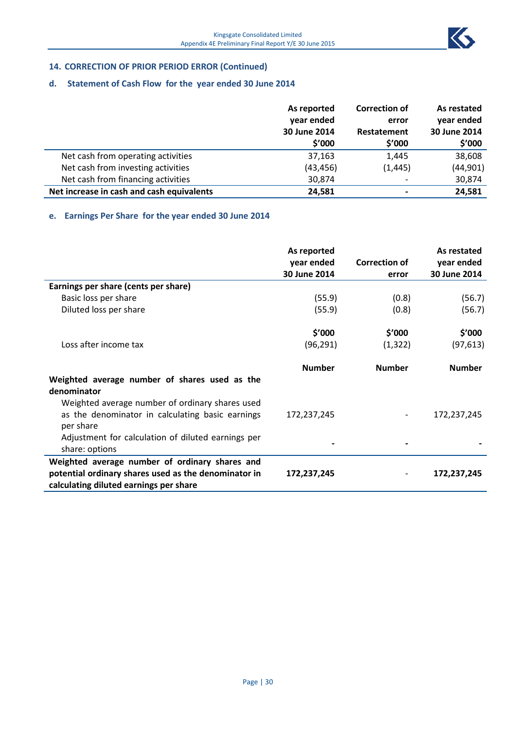

# **14. CORRECTION OF PRIOR PERIOD ERROR (Continued)**

# **d. Statement of Cash Flow for the year ended 30 June 2014**

|                                           | As reported<br>year ended<br>30 June 2014 | <b>Correction of</b><br>error<br>Restatement | As restated<br>year ended<br>30 June 2014 |  |
|-------------------------------------------|-------------------------------------------|----------------------------------------------|-------------------------------------------|--|
|                                           | \$′000                                    | \$′000                                       | \$′000                                    |  |
| Net cash from operating activities        | 37,163                                    | 1,445                                        | 38,608                                    |  |
| Net cash from investing activities        | (43, 456)                                 | (1, 445)                                     | (44, 901)                                 |  |
| Net cash from financing activities        | 30,874                                    |                                              | 30,874                                    |  |
| Net increase in cash and cash equivalents | 24,581                                    |                                              | 24,581                                    |  |

# **e. Earnings Per Share for the year ended 30 June 2014**

|                                                                                                                 | As reported<br>year ended<br>30 June 2014 | <b>Correction of</b><br>error | As restated<br>year ended<br>30 June 2014 |
|-----------------------------------------------------------------------------------------------------------------|-------------------------------------------|-------------------------------|-------------------------------------------|
| Earnings per share (cents per share)                                                                            |                                           |                               |                                           |
| Basic loss per share                                                                                            | (55.9)                                    | (0.8)                         | (56.7)                                    |
| Diluted loss per share                                                                                          | (55.9)                                    | (0.8)                         | (56.7)                                    |
|                                                                                                                 | \$'000                                    | \$′000                        | \$′000                                    |
| Loss after income tax                                                                                           | (96, 291)                                 | (1, 322)                      | (97, 613)                                 |
|                                                                                                                 | <b>Number</b>                             | <b>Number</b>                 | <b>Number</b>                             |
| Weighted average number of shares used as the<br>denominator<br>Weighted average number of ordinary shares used |                                           |                               |                                           |
| as the denominator in calculating basic earnings<br>per share                                                   | 172,237,245                               |                               | 172,237,245                               |
| Adjustment for calculation of diluted earnings per<br>share: options                                            |                                           |                               |                                           |
| Weighted average number of ordinary shares and                                                                  |                                           |                               |                                           |
| potential ordinary shares used as the denominator in<br>calculating diluted earnings per share                  | 172,237,245                               |                               | 172,237,245                               |